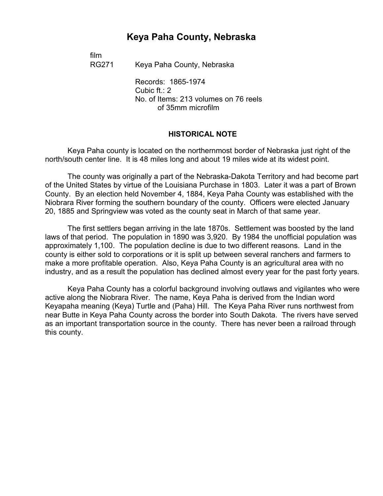# **Keya Paha County, Nebraska**

film

RG271 Keya Paha County, Nebraska

Records: 1865-1974 Cubic ft.: 2 No. of Items: 213 volumes on 76 reels of 35mm microfilm

#### **HISTORICAL NOTE**

Keya Paha county is located on the northernmost border of Nebraska just right of the north/south center line. It is 48 miles long and about 19 miles wide at its widest point.

The county was originally a part of the Nebraska-Dakota Territory and had become part of the United States by virtue of the Louisiana Purchase in 1803. Later it was a part of Brown County. By an election held November 4, 1884, Keya Paha County was established with the Niobrara River forming the southern boundary of the county. Officers were elected January 20, 1885 and Springview was voted as the county seat in March of that same year.

The first settlers began arriving in the late 1870s. Settlement was boosted by the land laws of that period. The population in 1890 was 3,920. By 1984 the unofficial population was approximately 1,100. The population decline is due to two different reasons. Land in the county is either sold to corporations or it is split up between several ranchers and farmers to make a more profitable operation. Also, Keya Paha County is an agricultural area with no industry, and as a result the population has declined almost every year for the past forty years.

Keya Paha County has a colorful background involving outlaws and vigilantes who were active along the Niobrara River. The name, Keya Paha is derived from the Indian word Keyapaha meaning (Keya) Turtle and (Paha) Hill. The Keya Paha River runs northwest from near Butte in Keya Paha County across the border into South Dakota. The rivers have served as an important transportation source in the county. There has never been a railroad through this county.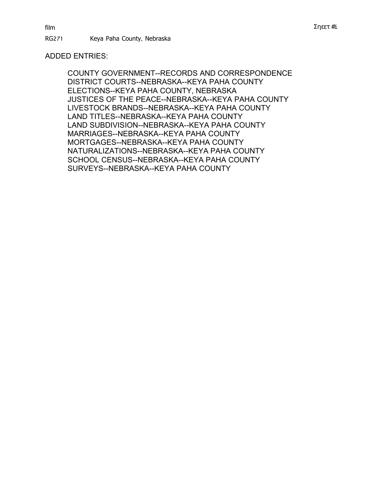# ADDED ENTRIES:

COUNTY GOVERNMENT--RECORDS AND CORRESPONDENCE DISTRICT COURTS--NEBRASKA--KEYA PAHA COUNTY ELECTIONS--KEYA PAHA COUNTY, NEBRASKA JUSTICES OF THE PEACE--NEBRASKA--KEYA PAHA COUNTY LIVESTOCK BRANDS--NEBRASKA--KEYA PAHA COUNTY LAND TITLES--NEBRASKA--KEYA PAHA COUNTY LAND SUBDIVISION--NEBRASKA--KEYA PAHA COUNTY MARRIAGES--NEBRASKA--KEYA PAHA COUNTY MORTGAGES--NEBRASKA--KEYA PAHA COUNTY NATURALIZATIONS--NEBRASKA--KEYA PAHA COUNTY SCHOOL CENSUS--NEBRASKA--KEYA PAHA COUNTY SURVEYS--NEBRASKA--KEYA PAHA COUNTY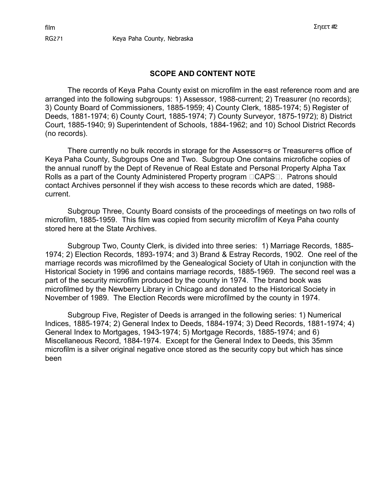#### **SCOPE AND CONTENT NOTE**

The records of Keya Paha County exist on microfilm in the east reference room and are arranged into the following subgroups: 1) Assessor, 1988-current; 2) Treasurer (no records); 3) County Board of Commissioners, 1885-1959; 4) County Clerk, 1885-1974; 5) Register of Deeds, 1881-1974; 6) County Court, 1885-1974; 7) County Surveyor, 1875-1972); 8) District Court, 1885-1940; 9) Superintendent of Schools, 1884-1962; and 10) School District Records (no records).

There currently no bulk records in storage for the Assessor=s or Treasurer=s office of Keya Paha County, Subgroups One and Two. Subgroup One contains microfiche copies of the annual runoff by the Dept of Revenue of Real Estate and Personal Property Alpha Tax Rolls as a part of the County Administered Property program  $\Box$ CAPS $\Box$ . Patrons should contact Archives personnel if they wish access to these records which are dated, 1988 current.

Subgroup Three, County Board consists of the proceedings of meetings on two rolls of microfilm, 1885-1959. This film was copied from security microfilm of Keya Paha county stored here at the State Archives.

Subgroup Two, County Clerk, is divided into three series: 1) Marriage Records, 1885- 1974; 2) Election Records, 1893-1974; and 3) Brand & Estray Records, 1902. One reel of the marriage records was microfilmed by the Genealogical Society of Utah in conjunction with the Historical Society in 1996 and contains marriage records, 1885-1969. The second reel was a part of the security microfilm produced by the county in 1974. The brand book was microfilmed by the Newberry Library in Chicago and donated to the Historical Society in November of 1989. The Election Records were microfilmed by the county in 1974.

Subgroup Five, Register of Deeds is arranged in the following series: 1) Numerical Indices, 1885-1974; 2) General Index to Deeds, 1884-1974; 3) Deed Records, 1881-1974; 4) General Index to Mortgages, 1943-1974; 5) Mortgage Records, 1885-1974; and 6) Miscellaneous Record, 1884-1974. Except for the General Index to Deeds, this 35mm microfilm is a silver original negative once stored as the security copy but which has since been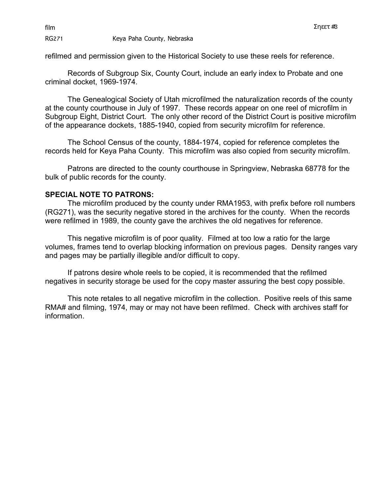RG271 Keya Paha County, Nebraska

refilmed and permission given to the Historical Society to use these reels for reference.

Records of Subgroup Six, County Court, include an early index to Probate and one criminal docket, 1969-1974.

The Genealogical Society of Utah microfilmed the naturalization records of the county at the county courthouse in July of 1997. These records appear on one reel of microfilm in Subgroup Eight, District Court. The only other record of the District Court is positive microfilm of the appearance dockets, 1885-1940, copied from security microfilm for reference.

The School Census of the county, 1884-1974, copied for reference completes the records held for Keya Paha County. This microfilm was also copied from security microfilm.

Patrons are directed to the county courthouse in Springview, Nebraska 68778 for the bulk of public records for the county.

## **SPECIAL NOTE TO PATRONS:**

The microfilm produced by the county under RMA1953, with prefix before roll numbers (RG271), was the security negative stored in the archives for the county. When the records were refilmed in 1989, the county gave the archives the old negatives for reference.

This negative microfilm is of poor quality. Filmed at too low a ratio for the large volumes, frames tend to overlap blocking information on previous pages. Density ranges vary and pages may be partially illegible and/or difficult to copy.

If patrons desire whole reels to be copied, it is recommended that the refilmed negatives in security storage be used for the copy master assuring the best copy possible.

This note retales to all negative microfilm in the collection. Positive reels of this same RMA# and filming, 1974, may or may not have been refilmed. Check with archives staff for information.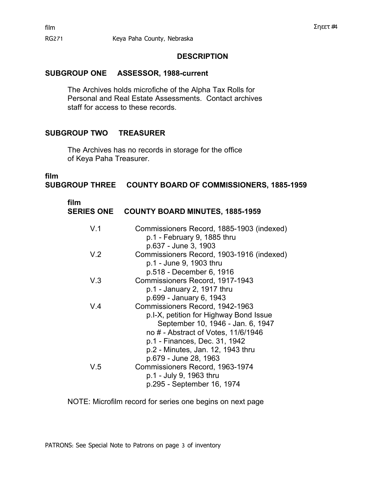## **DESCRIPTION**

# **SUBGROUP ONE ASSESSOR, 1988-current**

The Archives holds microfiche of the Alpha Tax Rolls for Personal and Real Estate Assessments. Contact archives staff for access to these records.

# **SUBGROUP TWO TREASURER**

The Archives has no records in storage for the office of Keya Paha Treasurer.

# **film**

**SUBGROUP THREE COUNTY BOARD OF COMMISSIONERS, 1885-1959** 

| film<br><b>SERIES ONE</b> | <b>COUNTY BOARD MINUTES, 1885-1959</b>                                                                                                                                                                                                               |
|---------------------------|------------------------------------------------------------------------------------------------------------------------------------------------------------------------------------------------------------------------------------------------------|
| V.1                       | Commissioners Record, 1885-1903 (indexed)<br>p.1 - February 9, 1885 thru<br>p.637 - June 3, 1903                                                                                                                                                     |
| V <sub>2</sub>            | Commissioners Record, 1903-1916 (indexed)<br>p.1 - June 9, 1903 thru<br>p.518 - December 6, 1916                                                                                                                                                     |
| V.3                       | Commissioners Record, 1917-1943<br>p.1 - January 2, 1917 thru<br>p.699 - January 6, 1943                                                                                                                                                             |
| V.4                       | Commissioners Record, 1942-1963<br>p.I-X, petition for Highway Bond Issue<br>September 10, 1946 - Jan. 6, 1947<br>no # - Abstract of Votes, 11/6/1946<br>p.1 - Finances, Dec. 31, 1942<br>p.2 - Minutes, Jan. 12, 1943 thru<br>p.679 - June 28, 1963 |
| V.5                       | Commissioners Record, 1963-1974<br>p.1 - July 9, 1963 thru<br>p.295 - September 16, 1974                                                                                                                                                             |

NOTE: Microfilm record for series one begins on next page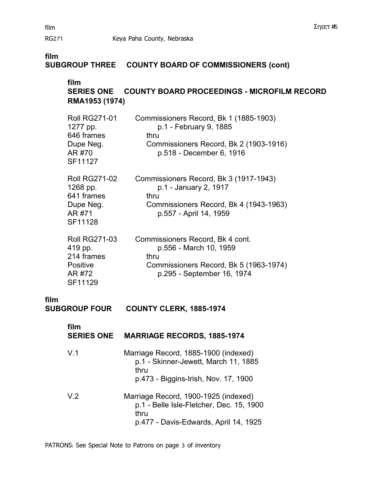RG271 Keya Paha County, Nebraska

# **film**

# **SUBGROUP THREE COUNTY BOARD OF COMMISSIONERS (cont)**

# **film SERIES ONE COUNTY BOARD PROCEEDINGS - MICROFILM RECORD RMA1953 (1974)**

| <b>Roll RG271-01</b><br>1277 pp.<br>646 frames<br>Dupe Neg.<br>AR #70<br>SF11127 | Commissioners Record, Bk 1 (1885-1903)<br>p.1 - February 9, 1885<br>thru<br>Commissioners Record, Bk 2 (1903-1916)<br>p.518 - December 6, 1916 |
|----------------------------------------------------------------------------------|------------------------------------------------------------------------------------------------------------------------------------------------|
| <b>Roll RG271-02</b><br>1268 pp.<br>641 frames<br>Dupe Neg.<br>AR #71<br>SF11128 | Commissioners Record, Bk 3 (1917-1943)<br>p.1 - January 2, 1917<br>thru<br>Commissioners Record, Bk 4 (1943-1963)<br>p.557 - April 14, 1959    |
| <b>Roll RG271-03</b><br>419 pp.<br>214 frames<br>Positive                        | Commissioners Record, Bk 4 cont.<br>p.556 - March 10, 1959<br>thru<br>Commissioners Record, Bk 5 (1963-1974)                                   |

SF11129 �

**film COUNTY CLERK, 1885-1974** 

| film<br><b>SERIES ONE</b> | <b>MARRIAGE RECORDS, 1885-1974</b>                                                                                                |  |  |  |
|---------------------------|-----------------------------------------------------------------------------------------------------------------------------------|--|--|--|
| V.1                       | Marriage Record, 1885-1900 (indexed)<br>p.1 - Skinner-Jewett, March 11, 1885<br>thru<br>p.473 - Biggins-Irish, Nov. 17, 1900      |  |  |  |
| V.2                       | Marriage Record, 1900-1925 (indexed)<br>p.1 - Belle Isle-Fletcher, Dec. 15, 1900<br>thru<br>p.477 - Davis-Edwards, April 14, 1925 |  |  |  |

AR #72 p.295 - September 16, 1974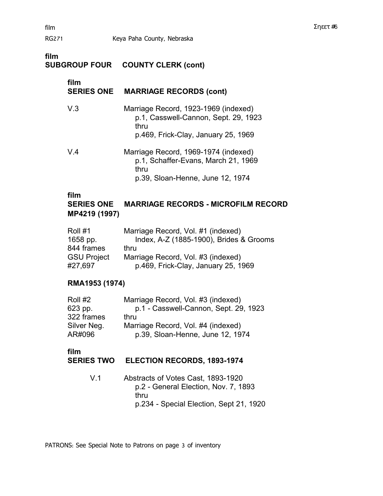# **film SUBGROUP FOUR COUNTY CLERK (cont) film SERIES ONE MARRIAGE RECORDS (cont)** V.3 Marriage Record, 1923-1969 (indexed) p.1, Casswell-Cannon, Sept. 29, 1923 thru p.469, Frick-Clay, January 25, 1969 V.4 � Marriage Record, 1969-1974 (indexed) p.1, Schaffer-Evans, March 21, 1969 thru

#### **film**

# **SERIES ONE MARRIAGE RECORDS - MICROFILM RECORD MP4219 (1997)**

p.39, Sloan-Henne, June 12, 1974

| Roll #1            | Marriage Record, Vol. #1 (indexed)      |
|--------------------|-----------------------------------------|
| 1658 pp.           | Index, A-Z (1885-1900), Brides & Grooms |
| 844 frames         | thru                                    |
| <b>GSU Project</b> | Marriage Record, Vol. #3 (indexed)      |
| #27,697            | p.469, Frick-Clay, January 25, 1969     |

## **RMA1953 (1974)**

| Roll #2     | Marriage Record, Vol. #3 (indexed)    |
|-------------|---------------------------------------|
| 623 pp.     | p.1 - Casswell-Cannon, Sept. 29, 1923 |
| 322 frames  | thru                                  |
| Silver Neg. | Marriage Record, Vol. #4 (indexed)    |
| AR#096      | p.39, Sloan-Henne, June 12, 1974      |

## **film**

## **SERIES TWO ELECTION RECORDS, 1893-1974**

V.1 Abstracts of Votes Cast, 1893-1920 p.2 - General Election, Nov. 7, 1893 thru p.234 - Special Election, Sept 21, 1920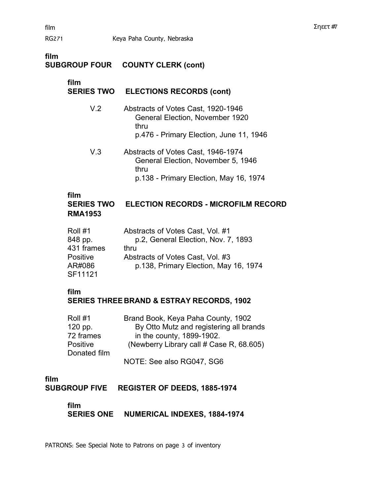#### **film SUBGROUP FOUR COUNTY CLERK (cont)**

# **film**

# **SERIES TWO ELECTIONS RECORDS (cont)**

- V.2 � Abstracts of Votes Cast, 1920-1946 General Election, November 1920 thru p.476 - Primary Election, June 11, 1946
- V.3 � Abstracts of Votes Cast, 1946-1974 General Election, November 5, 1946 thru p.138 - Primary Election, May 16, 1974

## **film**

# **SERIES TWO ELECTION RECORDS - MICROFILM RECORD RMA1953**

| Roll #1         | Abstracts of Votes Cast, Vol. #1      |
|-----------------|---------------------------------------|
| 848 pp.         | p.2, General Election, Nov. 7, 1893   |
| 431 frames      | thru                                  |
| <b>Positive</b> | Abstracts of Votes Cast, Vol. #3      |
| AR#086          | p.138, Primary Election, May 16, 1974 |
| SF11121         |                                       |

#### **film**

# **SERIES THREE BRAND & ESTRAY RECORDS, 1902**

| Roll #1         | Brand Book, Keya Paha County, 1902       |  |
|-----------------|------------------------------------------|--|
| 120 pp.         | By Otto Mutz and registering all brands  |  |
| 72 frames       | in the county, 1899-1902.                |  |
| <b>Positive</b> | (Newberry Library call # Case R, 68.605) |  |
| Donated film    |                                          |  |
|                 | NOTE: See also RG047, SG6                |  |

# **film**

**SUBGROUP FIVE REGISTER OF DEEDS, 1885-1974** 

## **film**

**SERIES ONE NUMERICAL INDEXES, 1884-1974**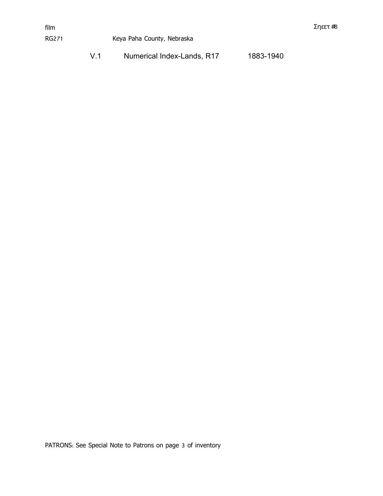| V.1 | Numerical Index-Lands, R17 | 1883-1940 |
|-----|----------------------------|-----------|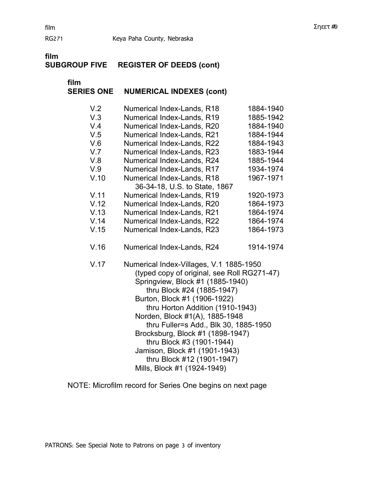# **film REGISTER OF DEEDS (cont)**

**film** �

# **SERIES ONE NUMERICAL INDEXES (cont)**

| V.2  | Numerical Index-Lands, R18                                                                                                                                                                                                                                                                                                                                                                                                                                             | 1884-1940 |  |
|------|------------------------------------------------------------------------------------------------------------------------------------------------------------------------------------------------------------------------------------------------------------------------------------------------------------------------------------------------------------------------------------------------------------------------------------------------------------------------|-----------|--|
| V.3  | Numerical Index-Lands, R19                                                                                                                                                                                                                                                                                                                                                                                                                                             | 1885-1942 |  |
| V.4  | Numerical Index-Lands, R20                                                                                                                                                                                                                                                                                                                                                                                                                                             | 1884-1940 |  |
| V.5  | Numerical Index-Lands, R21                                                                                                                                                                                                                                                                                                                                                                                                                                             | 1884-1944 |  |
| V.6  | Numerical Index-Lands, R22                                                                                                                                                                                                                                                                                                                                                                                                                                             | 1884-1943 |  |
| V.7  | Numerical Index-Lands, R23                                                                                                                                                                                                                                                                                                                                                                                                                                             | 1883-1944 |  |
| V.8  | Numerical Index-Lands, R24                                                                                                                                                                                                                                                                                                                                                                                                                                             | 1885-1944 |  |
| V.9  | Numerical Index-Lands, R17                                                                                                                                                                                                                                                                                                                                                                                                                                             | 1934-1974 |  |
| V.10 | Numerical Index-Lands, R18                                                                                                                                                                                                                                                                                                                                                                                                                                             | 1967-1971 |  |
|      | 36-34-18, U.S. to State, 1867                                                                                                                                                                                                                                                                                                                                                                                                                                          |           |  |
| V.11 | Numerical Index-Lands, R19                                                                                                                                                                                                                                                                                                                                                                                                                                             | 1920-1973 |  |
| V.12 | Numerical Index-Lands, R20                                                                                                                                                                                                                                                                                                                                                                                                                                             | 1864-1973 |  |
| V.13 | Numerical Index-Lands, R21                                                                                                                                                                                                                                                                                                                                                                                                                                             | 1864-1974 |  |
| V.14 | Numerical Index-Lands, R22                                                                                                                                                                                                                                                                                                                                                                                                                                             | 1864-1974 |  |
| V.15 | Numerical Index-Lands, R23                                                                                                                                                                                                                                                                                                                                                                                                                                             | 1864-1973 |  |
| V.16 | Numerical Index-Lands, R24                                                                                                                                                                                                                                                                                                                                                                                                                                             | 1914-1974 |  |
| V.17 | Numerical Index-Villages, V.1 1885-1950<br>(typed copy of original, see Roll RG271-47)<br>Springview, Block #1 (1885-1940)<br>thru Block #24 (1885-1947)<br>Burton, Block #1 (1906-1922)<br>thru Horton Addition (1910-1943)<br>Norden, Block #1(A), 1885-1948<br>thru Fuller=s Add., Blk 30, 1885-1950<br>Brocksburg, Block #1 (1898-1947)<br>thru Block #3 (1901-1944)<br>Jamison, Block #1 (1901-1943)<br>thru Block #12 (1901-1947)<br>Mills, Block #1 (1924-1949) |           |  |

NOTE: Microfilm record for Series One begins on next page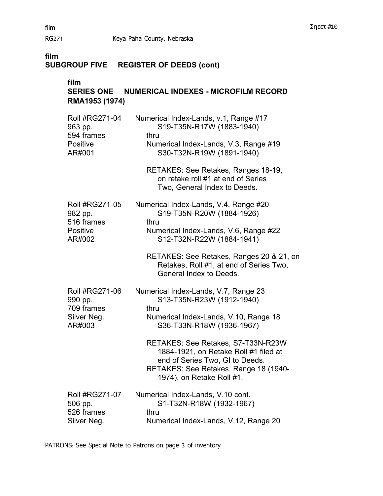# **SUBGROUP FIVE REGISTER OF DEEDS (cont)**

# **film**

# **SERIES ONE NUMERICAL INDEXES - MICROFILM RECORD RMA1953 (1974)**

| <b>Roll #RG271-04</b> | Numerical Index-Lands, v.1, Range #17                                                                                                                                                |  |  |
|-----------------------|--------------------------------------------------------------------------------------------------------------------------------------------------------------------------------------|--|--|
| 963 pp.               | S19-T35N-R17W (1883-1940)                                                                                                                                                            |  |  |
| 594 frames            | thru                                                                                                                                                                                 |  |  |
| Positive              | Numerical Index-Lands, V.3, Range #19                                                                                                                                                |  |  |
| AR#001                | S30-T32N-R19W (1891-1940)                                                                                                                                                            |  |  |
|                       | RETAKES: See Retakes, Ranges 18-19,<br>on retake roll #1 at end of Series<br>Two, General Index to Deeds.                                                                            |  |  |
| <b>Roll #RG271-05</b> | Numerical Index-Lands, V.4, Range #20                                                                                                                                                |  |  |
| 982 pp.               | S19-T35N-R20W (1884-1926)                                                                                                                                                            |  |  |
| 516 frames            | thru                                                                                                                                                                                 |  |  |
| Positive              | Numerical Index-Lands, V.6, Range #22                                                                                                                                                |  |  |
| AR#002                | S12-T32N-R22W (1884-1941)                                                                                                                                                            |  |  |
|                       | RETAKES: See Retakes, Ranges 20 & 21, on<br>Retakes, Roll #1, at end of Series Two,<br>General Index to Deeds.                                                                       |  |  |
| <b>Roll #RG271-06</b> | Numerical Index-Lands, V.7, Range 23                                                                                                                                                 |  |  |
| 990 pp.               | S13-T35N-R23W (1912-1940)                                                                                                                                                            |  |  |
| 709 frames            | thru                                                                                                                                                                                 |  |  |
| Silver Neg.           | Numerical Index-Lands, V.10, Range 18                                                                                                                                                |  |  |
| AR#003                | S36-T33N-R18W (1936-1967)                                                                                                                                                            |  |  |
|                       | RETAKES: See Retakes, S7-T33N-R23W<br>1884-1921, on Retake Roll #1 filed at<br>end of Series Two, GI to Deeds.<br>RETAKES: See Retakes, Range 18 (1940-<br>1974), on Retake Roll #1. |  |  |
| <b>Roll #RG271-07</b> | Numerical Index-Lands, V.10 cont.                                                                                                                                                    |  |  |
| 506 pp.               | S1-T32N-R18W (1932-1967)                                                                                                                                                             |  |  |
| 526 frames            | thru                                                                                                                                                                                 |  |  |
| Silver Neg.           | Numerical Index-Lands, V.12, Range 20                                                                                                                                                |  |  |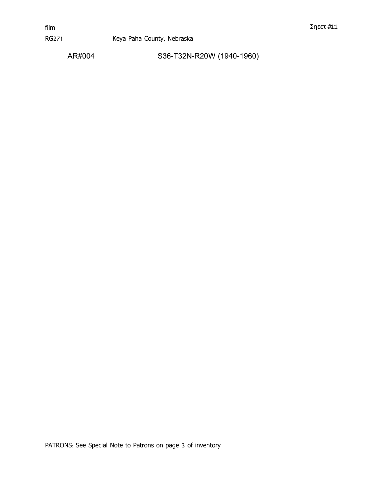AR#004 S36-T32N-R20W (1940-1960)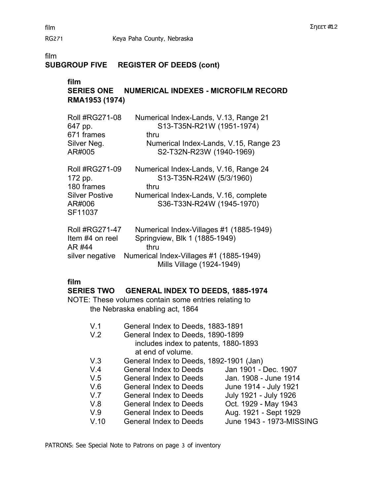# **SUBGROUP FIVE REGISTER OF DEEDS (cont)**

# **film**

# **SERIES ONE NUMERICAL INDEXES - MICROFILM RECORD RMA1953 (1974)**

| <b>Roll #RG271-08</b><br>647 pp.<br>671 frames<br>Silver Neg.<br>AR#005                      | Numerical Index-Lands, V.13, Range 21<br>S13-T35N-R21W (1951-1974)<br>thru<br>Numerical Index-Lands, V.15, Range 23<br>S2-T32N-R23W (1940-1969)          |
|----------------------------------------------------------------------------------------------|----------------------------------------------------------------------------------------------------------------------------------------------------------|
| <b>Roll #RG271-09</b><br>172 pp.<br>180 frames<br><b>Silver Postive</b><br>AR#006<br>SF11037 | Numerical Index-Lands, V.16, Range 24<br>S13-T35N-R24W (5/3/1960)<br>thru<br>Numerical Index-Lands, V.16, complete<br>S36-T33N-R24W (1945-1970)          |
| <b>Roll #RG271-47</b><br>Item #4 on reel<br>AR #44<br>silver negative                        | Numerical Index-Villages #1 (1885-1949)<br>Springview, Blk 1 (1885-1949)<br>thru<br>Numerical Index-Villages #1 (1885-1949)<br>Mills Village (1924-1949) |

## **film**

#### **SERIES TWO GENERAL INDEX TO DEEDS, 1885-1974**

NOTE: These volumes contain some entries relating to the Nebraska enabling act, 1864

- V.1 General Index to Deeds, 1883-1891
- V.2 General Index to Deeds, 1890-1899 includes index to patents, 1880-1893 at end of volume.
- V.3 General Index to Deeds, 1892-1901 (Jan)
- V.4 General Index to Deeds Jan 1901 Dec. 1907
- V.5 General Index to Deeds Jan. 1908 June 1914
	- V.6 General Index to Deeds June 1914 July 1921
	- V.7 General Index to Deeds July 1921 July 1926
	- V.8 General Index to Deeds Oct. 1929 May 1943
	- V.9 General Index to Deeds Aug. 1921 Sept 1929
- V.10 General Index to Deeds June 1943 1973-MISSING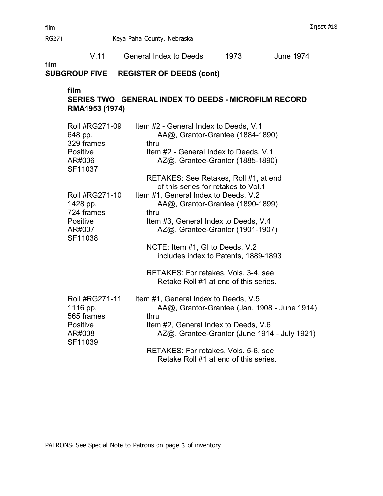RG271 Keya Paha County, Nebraska

|      | V.11                                                                      | <b>General Index to Deeds</b>                                                          | 1973                                                                 | <b>June 1974</b>                                                                             |
|------|---------------------------------------------------------------------------|----------------------------------------------------------------------------------------|----------------------------------------------------------------------|----------------------------------------------------------------------------------------------|
| film | <b>SUBGROUP FIVE</b>                                                      | <b>REGISTER OF DEEDS (cont)</b>                                                        |                                                                      |                                                                                              |
|      | film<br>RMA1953 (1974)                                                    | SERIES TWO GENERAL INDEX TO DEEDS - MICROFILM RECORD                                   |                                                                      |                                                                                              |
|      | Roll #RG271-09<br>648 pp.<br>329 frames<br>Positive<br>AR#006<br>SF11037  | Item #2 - General Index to Deeds, V.1<br>thru<br>Item #2 - General Index to Deeds, V.1 | AA@, Grantor-Grantee (1884-1890)<br>AZ@, Grantee-Grantor (1885-1890) |                                                                                              |
|      | Roll #RG271-10                                                            | RETAKES: See Retakes, Roll #1, at end<br>Item #1, General Index to Deeds, V.2          | of this series for retakes to Vol.1                                  |                                                                                              |
|      | 1428 pp.<br>724 frames<br>Positive<br>AR#007<br>SF11038                   | thru<br>Item #3, General Index to Deeds, V.4                                           | AA@, Grantor-Grantee (1890-1899)<br>AZ@, Grantee-Grantor (1901-1907) |                                                                                              |
|      |                                                                           | NOTE: Item #1, GI to Deeds, V.2                                                        | includes index to Patents, 1889-1893                                 |                                                                                              |
|      |                                                                           | RETAKES: For retakes, Vols. 3-4, see                                                   | Retake Roll #1 at end of this series.                                |                                                                                              |
|      | Roll #RG271-11<br>1116 pp.<br>565 frames<br>Positive<br>AR#008<br>SF11039 | Item #1, General Index to Deeds, V.5<br>thru<br>Item #2, General Index to Deeds, V.6   |                                                                      | AA@, Grantor-Grantee (Jan. 1908 - June 1914)<br>AZ@, Grantee-Grantor (June 1914 - July 1921) |
|      |                                                                           | RETAKES: For retakes, Vols. 5-6, see                                                   | Retake Roll #1 at end of this series.                                |                                                                                              |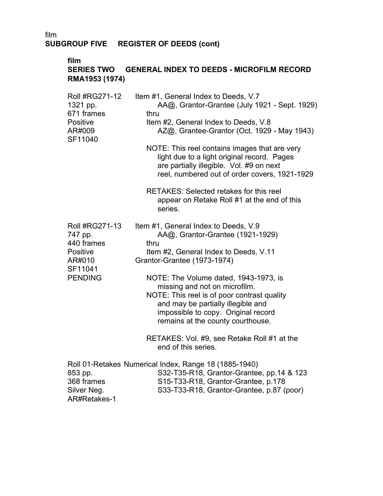#### **film**

# **SERIES TWO GENERAL INDEX TO DEEDS - MICROFILM RECORD RMA1953 (1974)**

| Roll #RG271-12<br>1321 pp.<br>671 frames<br><b>Positive</b>                                       | Item #1, General Index to Deeds, V.7<br>AA@, Grantor-Grantee (July 1921 - Sept. 1929)<br>thru<br>Item #2, General Index to Deeds, V.8                                                                                                                                                                                                                                                                                                                                     |
|---------------------------------------------------------------------------------------------------|---------------------------------------------------------------------------------------------------------------------------------------------------------------------------------------------------------------------------------------------------------------------------------------------------------------------------------------------------------------------------------------------------------------------------------------------------------------------------|
| AR#009<br>SF11040                                                                                 | AZ@, Grantee-Grantor (Oct. 1929 - May 1943)<br>NOTE: This reel contains images that are very<br>light due to a light original record. Pages<br>are partially illegible. Vol. #9 on next<br>reel, numbered out of order covers, 1921-1929                                                                                                                                                                                                                                  |
|                                                                                                   | <b>RETAKES: Selected retakes for this reel</b><br>appear on Retake Roll #1 at the end of this<br>series.                                                                                                                                                                                                                                                                                                                                                                  |
| <b>Roll #RG271-13</b><br>747 pp.<br>440 frames<br>Positive<br>AR#010<br>SF11041<br><b>PENDING</b> | Item #1, General Index to Deeds, V.9<br>AA@, Grantor-Grantee (1921-1929)<br>thru<br>Item #2, General Index to Deeds, V.11<br>Grantor-Grantee (1973-1974)<br>NOTE: The Volume dated, 1943-1973, is<br>missing and not on microfilm.<br>NOTE: This reel is of poor contrast quality<br>and may be partially illegible and<br>impossible to copy. Original record<br>remains at the county courthouse.<br>RETAKES: Vol. #9, see Retake Roll #1 at the<br>end of this series. |
| 853 pp.<br>368 frames<br>Silver Neg.<br>AR#Retakes-1                                              | Roll 01-Retakes Numerical Index, Range 18 (1885-1940)<br>S32-T35-R18, Grantor-Grantee, pp.14 & 123<br>S15-T33-R18, Grantor-Grantee, p.178<br>S33-T33-R18, Grantor-Grantee, p.87 (poor)                                                                                                                                                                                                                                                                                    |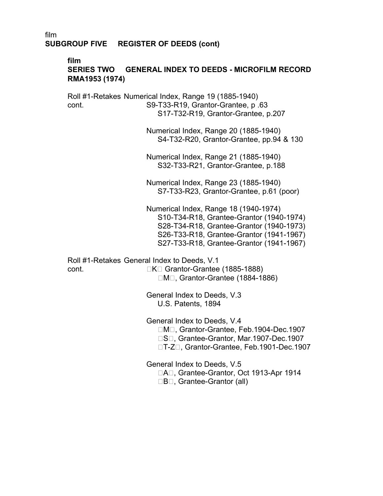#### **film SERIES TWO GENERAL INDEX TO DEEDS - MICROFILM RECORD RMA1953 (1974)**

Roll #1-Retakes Numerical Index, Range 19 (1885-1940) cont. S9-T33-R19, Grantor-Grantee, p .63 S17-T32-R19, Grantor-Grantee, p.207

> Numerical Index, Range 20 (1885-1940) S4-T32-R20, Grantor-Grantee, pp.94 & 130

Numerical Index, Range 21 (1885-1940) S32-T33-R21, Grantor-Grantee, p.188

Numerical Index, Range 23 (1885-1940) S7-T33-R23, Grantor-Grantee, p.61 (poor)

Numerical Index, Range 18 (1940-1974) S10-T34-R18, Grantee-Grantor (1940-1974) S28-T34-R18, Grantee-Grantor (1940-1973) S26-T33-R18, Grantee-Grantor (1941-1967) S27-T33-R18, Grantee-Grantor (1941-1967)

Roll #1-Retakes General Index to Deeds, V.1 cont. △ Grantor-Grantee (1885-1888)

 $\Box M\Box$ , Grantor-Grantee (1884-1886)

General Index to Deeds, V.3 U.S. Patents, 1894

General Index to Deeds, V.4 □M□, Grantor-Grantee, Feb.1904-Dec.1907 □S□. Grantee-Grantor, Mar.1907-Dec.1907 □T-Z□, Grantor-Grantee, Feb.1901-Dec.1907

General Index to Deeds, V.5

DAD, Grantee-Grantor, Oct 1913-Apr 1914

 $\Box$ B $\Box$ , Grantee-Grantor (all)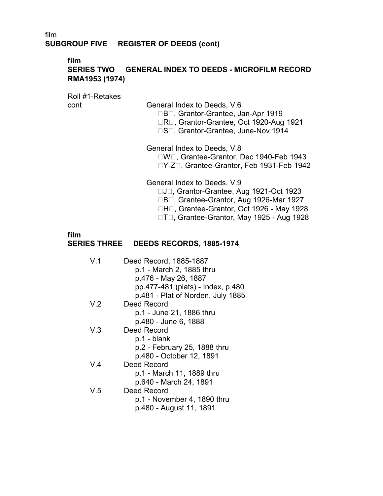# **film**

# **SERIES TWO GENERAL INDEX TO DEEDS - MICROFILM RECORD RMA1953 (1974)**

Roll #1-Retakes

cont General Index to Deeds, V.6

□B□, Grantor-Grantee, Jan-Apr 1919

□R□, Grantor-Grantee, Oct 1920-Aug 1921

□S□, Grantor-Grantee, June-Nov 1914

General Index to Deeds, V.8

□W□, Grantee-Grantor, Dec 1940-Feb 1943 □Y-Z□, Grantee-Grantor, Feb 1931-Feb 1942

General Index to Deeds, V.9

□J□, Grantor-Grantee, Aug 1921-Oct 1923

□B□, Grantee-Grantor, Aug 1926-Mar 1927

□H□, Grantee-Grantor, Oct 1926 - May 1928

□T□, Grantee-Grantor, May 1925 - Aug 1928

# **film**

# **SERIES THREE DEEDS RECORDS, 1885-1974** �

| V 1 | Deed Record, 1885-1887<br>p.1 - March 2, 1885 thru<br>p.476 - May 26, 1887<br>pp.477-481 (plats) - Index, p.480 |
|-----|-----------------------------------------------------------------------------------------------------------------|
|     | p.481 - Plat of Norden, July 1885                                                                               |
| V.2 | Deed Record                                                                                                     |
|     | p.1 - June 21, 1886 thru                                                                                        |
|     | p.480 - June 6, 1888                                                                                            |
| V.3 | Deed Record                                                                                                     |
|     | p.1 - blank                                                                                                     |
|     | p.2 - February 25, 1888 thru                                                                                    |
|     | p.480 - October 12, 1891                                                                                        |
| V 4 | Deed Record                                                                                                     |
|     | p.1 - March 11, 1889 thru                                                                                       |
|     | p.640 - March 24, 1891                                                                                          |
| V.5 | Deed Record                                                                                                     |
|     | p.1 - November 4, 1890 thru                                                                                     |
|     | p.480 - August 11, 1891                                                                                         |
|     |                                                                                                                 |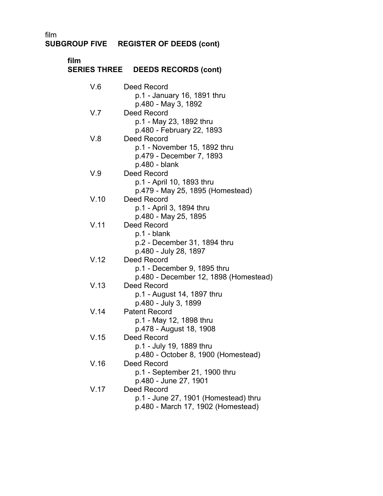# **SUBGROUP FIVE REGISTER OF DEEDS (cont)**

| film | SERIES THREE DEEDS RECORDS (cont)                                                                          |
|------|------------------------------------------------------------------------------------------------------------|
| V.6  | Deed Record<br>p.1 - January 16, 1891 thru                                                                 |
| V.7  | p.480 - May 3, 1892<br>Deed Record<br>p.1 - May 23, 1892 thru                                              |
| V.8  | p.480 - February 22, 1893<br>Deed Record<br>p.1 - November 15, 1892 thru<br>p.479 - December 7, 1893       |
| V.9  | p.480 - blank<br><b>Deed Record</b><br>p.1 - April 10, 1893 thru                                           |
| V.10 | p.479 - May 25, 1895 (Homestead)<br><b>Deed Record</b><br>p.1 - April 3, 1894 thru                         |
| V.11 | p.480 - May 25, 1895<br>Deed Record<br>p.1 - blank<br>p.2 - December 31, 1894 thru                         |
| V.12 | p.480 - July 28, 1897<br>Deed Record<br>p.1 - December 9, 1895 thru                                        |
| V.13 | p.480 - December 12, 1898 (Homestead)<br>Deed Record<br>p.1 - August 14, 1897 thru<br>p.480 - July 3, 1899 |
| V.14 | <b>Patent Record</b><br>p.1 - May 12, 1898 thru<br>p.478 - August 18, 1908                                 |
| V.15 | Deed Record<br>p.1 - July 19, 1889 thru<br>p.480 - October 8, 1900 (Homestead)                             |
| V.16 | <b>Deed Record</b><br>p.1 - September 21, 1900 thru<br>p.480 - June 27, 1901                               |
| V.17 | Deed Record<br>p.1 - June 27, 1901 (Homestead) thru<br>p.480 - March 17, 1902 (Homestead)                  |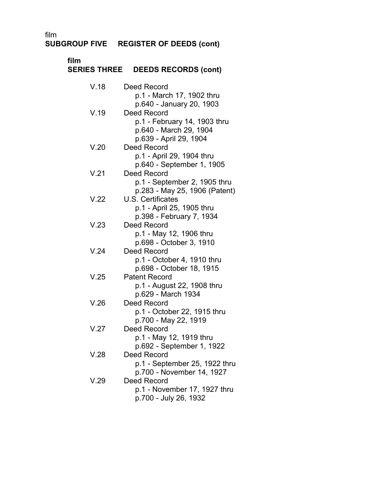**SUBGROUP FIVE REGISTER OF DEEDS (cont)** 

| film<br><b>SERIES THREE</b> | <b>DEEDS RECORDS (cont)</b>                         |
|-----------------------------|-----------------------------------------------------|
| V.18                        | Deed Record                                         |
|                             | p.1 - March 17, 1902 thru                           |
|                             | p.640 - January 20, 1903                            |
| V.19                        | Deed Record                                         |
|                             | p.1 - February 14, 1903 thru                        |
|                             | p.640 - March 29, 1904                              |
| V.20                        | p.639 - April 29, 1904<br>Deed Record               |
|                             | p.1 - April 29, 1904 thru                           |
|                             | p.640 - September 1, 1905                           |
| V.21                        | Deed Record                                         |
|                             | p.1 - September 2, 1905 thru                        |
|                             | p.283 - May 25, 1906 (Patent)                       |
| V.22                        | U.S. Certificates                                   |
|                             | p.1 - April 25, 1905 thru                           |
|                             | p.398 - February 7, 1934                            |
| V.23                        | Deed Record                                         |
|                             | p.1 - May 12, 1906 thru<br>p.698 - October 3, 1910  |
| V.24                        | Deed Record                                         |
|                             | p.1 - October 4, 1910 thru                          |
|                             | p.698 - October 18, 1915                            |
| V.25                        | <b>Patent Record</b>                                |
|                             | p.1 - August 22, 1908 thru                          |
|                             | p.629 - March 1934                                  |
| V.26                        | <b>Deed Record</b>                                  |
|                             | p.1 - October 22, 1915 thru<br>p.700 - May 22, 1919 |
| V.27                        | Deed Record                                         |
|                             | p.1 - May 12, 1919 thru                             |
|                             | p.692 - September 1, 1922                           |
| V.28                        | Deed Record                                         |
|                             | p.1 - September 25, 1922 thru                       |
|                             | p.700 - November 14, 1927                           |
| V.29                        | Deed Record                                         |
|                             | p.1 - November 17, 1927 thru                        |
|                             | p.700 - July 26, 1932                               |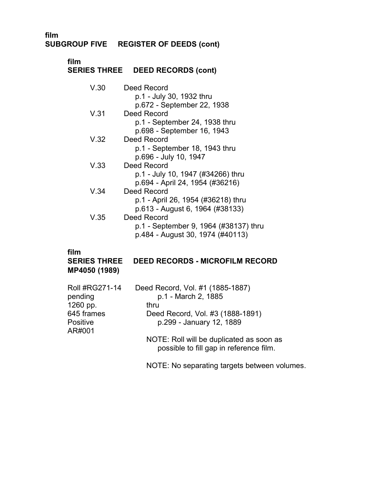**SUBGROUP FIVE REGISTER OF DEEDS (cont)**

# **film SERIES THREE DEED RECORDS (cont)**

| V.30 | Deed Record                           |
|------|---------------------------------------|
|      | p.1 - July 30, 1932 thru              |
|      | p.672 - September 22, 1938            |
| V.31 | Deed Record                           |
|      | p.1 - September 24, 1938 thru         |
|      | p.698 - September 16, 1943            |
| V.32 | Deed Record                           |
|      | p.1 - September 18, 1943 thru         |
|      | p.696 - July 10, 1947                 |
| V.33 | Deed Record                           |
|      | p.1 - July 10, 1947 (#34266) thru     |
|      | p.694 - April 24, 1954 (#36216)       |
| V.34 | Deed Record                           |
|      | p.1 - April 26, 1954 (#36218) thru    |
|      | p.613 - August 6, 1964 (#38133)       |
| V.35 | Deed Record                           |
|      | p.1 - September 9, 1964 (#38137) thru |
|      | p.484 - August 30, 1974 (#40113)      |
|      |                                       |

# **film**

# **SERIES THREE DEED RECORDS - MICROFILM RECORD MP4050 (1989)**

| <b>Roll #RG271-14</b> | Deed Record, Vol. #1 (1885-1887)                                                    |
|-----------------------|-------------------------------------------------------------------------------------|
| pending               | p.1 - March 2, 1885                                                                 |
| 1260 pp.              | thru                                                                                |
| 645 frames            | Deed Record, Vol. #3 (1888-1891)                                                    |
| Positive<br>AR#001    | p.299 - January 12, 1889                                                            |
|                       | NOTE: Roll will be duplicated as soon as<br>possible to fill gap in reference film. |
|                       | NOTE: No separating targets between volumes.                                        |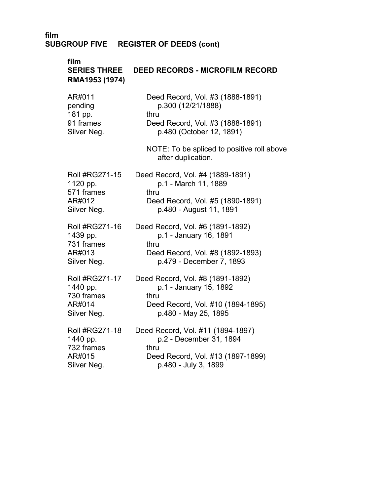# **film DEED RECORDS - MICROFILM RECORD RMA1953 (1974)**

| AR#011      | Deed Record, Vol. #3 (1888-1891) |
|-------------|----------------------------------|
| pending     | p.300 (12/21/1888)               |
| 181 pp.     | thru                             |
| 91 frames   | Deed Record, Vol. #3 (1888-1891) |
| Silver Neg. | p.480 (October 12, 1891)         |

NOTE: To be spliced to positive roll above after duplication.

| <b>Roll #RG271-15</b> | Deed Record, Vol. #4 (1889-1891) |
|-----------------------|----------------------------------|
| 1120 pp.              | p.1 - March 11, 1889             |
| 571 frames            | thru                             |
| AR#012                | Deed Record, Vol. #5 (1890-1891) |
| Silver Neg.           | p.480 - August 11, 1891          |

| Roll #RG271-16 | Deed Record, Vol. #6 (1891-1892) |
|----------------|----------------------------------|
| 1439 pp.       | p.1 - January 16, 1891           |
| 731 frames     | thru                             |
| AR#013         | Deed Record, Vol. #8 (1892-1893) |
| Silver Neg.    | p.479 - December 7, 1893         |

| <b>Roll #RG271-17</b> | Deed Record, Vol. #8 (1891-1892)  |
|-----------------------|-----------------------------------|
| 1440 pp.              | p.1 - January 15, 1892            |
| 730 frames            | thru                              |
| AR#014                | Deed Record, Vol. #10 (1894-1895) |
| Silver Neg.           | p.480 - May 25, 1895              |
|                       |                                   |

| Roll #RG271-18 | Deed Record, Vol. #11 (1894-1897) |
|----------------|-----------------------------------|
| 1440 pp.       | p.2 - December 31, 1894           |
| 732 frames     | thru                              |
| AR#015         | Deed Record, Vol. #13 (1897-1899) |
| Silver Neg.    | p.480 - July 3, 1899              |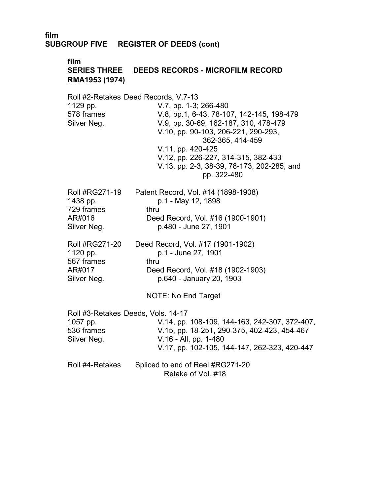## **film SERIES THREE DEEDS RECORDS - MICROFILM RECORD RMA1953 (1974)**

Roll #2-Retakes Deed Records, V.7-13 1129 pp. 578 frames Silver Neg. Roll #RG271-19 1438 pp. 729 frames AR#016 Silver Neg. Roll #RG271-20 1120 pp. 567 frames AR#017 Silver Neg. V.7, pp. 1-3; 266-480 V.8, pp.1, 6-43, 78-107, 142-145, 198-479 V.9, pp. 30-69, 162-187, 310, 478-479 V.10, pp. 90-103, 206-221, 290-293, 362-365, 414-459 V.11, pp. 420-425 V.12, pp. 226-227, 314-315, 382-433 V.13, pp. 2-3, 38-39, 78-173, 202-285, and pp. 322-480 Patent Record, Vol. #14 (1898-1908) p.1 - May 12, 1898 thru Deed Record, Vol. #16 (1900-1901) � p.480 - June 27, 1901 Deed Record, Vol. #17 (1901-1902) p.1 - June 27, 1901 thru Deed Record, Vol. #18 (1902-1903) � p.640 - January 20, 1903 NOTE: No End Target Roll #3-Retakes Deeds, Vols. 14-17 1057 pp. V.14, pp. 108-109, 144-163, 242-307, 372-407, 536 frames V.15, pp. 18-251, 290-375, 402-423, 454-467 Silver Neg. V.16 - All, pp. 1-480 V.17, pp. 102-105, 144-147, 262-323, 420-447 Roll #4-Retakes Spliced to end of Reel #RG271-20 Retake of Vol. #18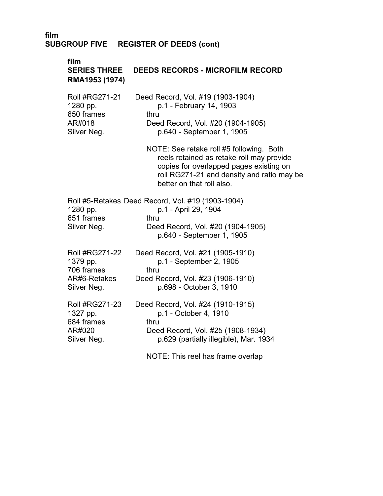# **film SERIES THREE DEEDS RECORDS - MICROFILM RECORD RMA1953 (1974)**

| Roll #RG271-21 | Deed Record, Vol. #19 (1903-1904) |
|----------------|-----------------------------------|
| 1280 pp.       | p.1 - February 14, 1903           |
| 650 frames     | thru                              |
| AR#018         | Deed Record, Vol. #20 (1904-1905) |
| Silver Neg.    | p.640 - September 1, 1905         |

NOTE: See retake roll #5 following. Both reels retained as retake roll may provide copies for overlapped pages existing on roll RG271-21 and density and ratio may be better on that roll also.

|                       | Roll #5-Retakes Deed Record, Vol. #19 (1903-1904) |
|-----------------------|---------------------------------------------------|
| 1280 pp.              | p.1 - April 29, 1904                              |
| 651 frames            | thru                                              |
| Silver Neg.           | Deed Record, Vol. #20 (1904-1905)                 |
|                       | p.640 - September 1, 1905                         |
| <b>Roll #RG271-22</b> | Deed Record, Vol. #21 (1905-1910)                 |
| 1379 pp.              | p.1 - September 2, 1905                           |
| 706 frames            | thru                                              |

| , טטוואיוויס | .                                 |
|--------------|-----------------------------------|
| AR#6-Retakes | Deed Record, Vol. #23 (1906-1910) |
| Silver Neg.  | p.698 - October 3, 1910           |

| <b>Roll #RG271-23</b> | Deed Record, Vol. #24 (1910-1915)      |
|-----------------------|----------------------------------------|
| 1327 pp.              | p.1 - October 4, 1910                  |
| 684 frames            | thru                                   |
| AR#020                | Deed Record, Vol. #25 (1908-1934)      |
| Silver Neg.           | p.629 (partially illegible), Mar. 1934 |

NOTE: This reel has frame overlap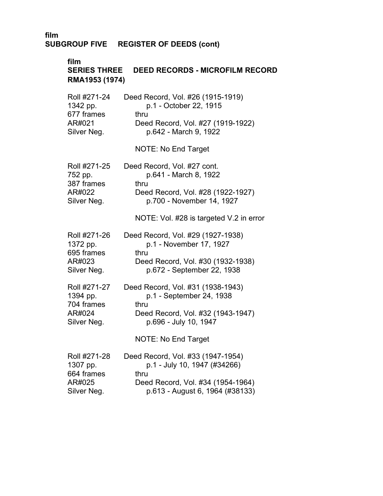# **film**

| <b>SERIES THREE</b><br><b>DEED RECORDS - MICROFILM RECORD</b><br>RMA1953 (1974) |                                         |  |
|---------------------------------------------------------------------------------|-----------------------------------------|--|
| Roll #271-24                                                                    | Deed Record, Vol. #26 (1915-1919)       |  |
| 1342 pp.                                                                        | p.1 - October 22, 1915                  |  |
| 677 frames                                                                      | thru                                    |  |
| AR#021                                                                          | Deed Record, Vol. #27 (1919-1922)       |  |
| Silver Neg.                                                                     | p.642 - March 9, 1922                   |  |
|                                                                                 | <b>NOTE: No End Target</b>              |  |
| Roll #271-25                                                                    | Deed Record, Vol. #27 cont.             |  |
| 752 pp.                                                                         | p.641 - March 8, 1922                   |  |
| 387 frames                                                                      | thru                                    |  |
| AR#022                                                                          | Deed Record, Vol. #28 (1922-1927)       |  |
| Silver Neg.                                                                     | p.700 - November 14, 1927               |  |
|                                                                                 | NOTE: Vol. #28 is targeted V.2 in error |  |
| Roll #271-26                                                                    | Deed Record, Vol. #29 (1927-1938)       |  |
| 1372 pp.                                                                        | p.1 - November 17, 1927                 |  |
| 695 frames                                                                      | thru                                    |  |
| AR#023                                                                          | Deed Record, Vol. #30 (1932-1938)       |  |
| Silver Neg.                                                                     | p.672 - September 22, 1938              |  |
| Roll #271-27                                                                    | Deed Record, Vol. #31 (1938-1943)       |  |
| 1394 pp.                                                                        | p.1 - September 24, 1938                |  |
| 704 frames                                                                      | thru                                    |  |
| AR#024                                                                          | Deed Record, Vol. #32 (1943-1947)       |  |
| Silver Neg.                                                                     | p.696 - July 10, 1947                   |  |
|                                                                                 | <b>NOTE: No End Target</b>              |  |
| Roll #271-28                                                                    | Deed Record, Vol. #33 (1947-1954)       |  |
| 1307 pp.                                                                        | p.1 - July 10, 1947 (#34266)            |  |
| 664 frames                                                                      | thru                                    |  |
| AR#025                                                                          | Deed Record, Vol. #34 (1954-1964)       |  |
| Silver Neg.                                                                     | p.613 - August 6, 1964 (#38133)         |  |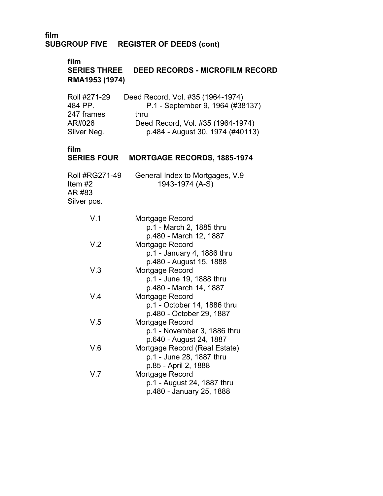## **film**

**SERIES THREE DEED RECORDS - MICROFILM RECORD RMA1953 (1974)** 

| Roll #271-29 | Deed Record, Vol. #35 (1964-1974) |
|--------------|-----------------------------------|
| 484 PP.      | P.1 - September 9, 1964 (#38137)  |
| 247 frames   | thru                              |
| AR#026       | Deed Record, Vol. #35 (1964-1974) |
| Silver Neg.  | p.484 - August 30, 1974 (#40113)  |

## **film**

# **SERIES FOUR MORTGAGE RECORDS, 1885-1974**

| Roll #RG271-49 | General Index to Mortgages, V.9 |
|----------------|---------------------------------|
| Item $#2$      | 1943-1974 (A-S)                 |
| AR #83         |                                 |
| Silver pos.    |                                 |
|                |                                 |
| V 1            | Mortgage Record                 |

| v. I            | <u>MULIYAYE RECOLU</u>        |
|-----------------|-------------------------------|
|                 | p.1 - March 2, 1885 thru      |
|                 | p.480 - March 12, 1887        |
| V <sub>.2</sub> | Mortgage Record               |
|                 | p.1 - January 4, 1886 thru    |
|                 | p.480 - August 15, 1888       |
| V.3             | Mortgage Record               |
|                 | p.1 - June 19, 1888 thru      |
|                 | p.480 - March 14, 1887        |
| V.4             | Mortgage Record               |
|                 | p.1 - October 14, 1886 thru   |
|                 | p.480 - October 29, 1887      |
| V.5             | Mortgage Record               |
|                 | p.1 - November 3, 1886 thru   |
|                 | p.640 - August 24, 1887       |
| V.6             | Mortgage Record (Real Estate) |
|                 | p.1 - June 28, 1887 thru      |
|                 | p.85 - April 2, 1888          |
| V.7             | Mortgage Record               |
|                 | p.1 - August 24, 1887 thru    |
|                 | p.480 - January 25, 1888      |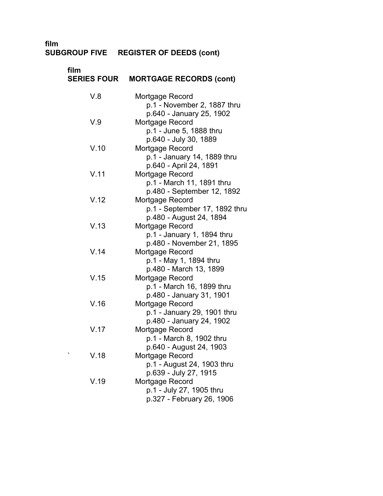#### **SUBGROUP FIVE REGISTER OF DEEDS (cont)** �

| film<br><b>SERIES FOUR</b> | <b>MORTGAGE RECORDS (cont)</b>                          |
|----------------------------|---------------------------------------------------------|
| V.8                        | Mortgage Record                                         |
|                            | p.1 - November 2, 1887 thru                             |
|                            | p.640 - January 25, 1902                                |
| V.9                        | Mortgage Record                                         |
|                            | p.1 - June 5, 1888 thru                                 |
|                            | p.640 - July 30, 1889                                   |
| V.10                       | Mortgage Record                                         |
|                            | p.1 - January 14, 1889 thru                             |
|                            | p.640 - April 24, 1891                                  |
| V.11                       | Mortgage Record                                         |
|                            | p.1 - March 11, 1891 thru<br>p.480 - September 12, 1892 |
| V.12                       | Mortgage Record                                         |
|                            | p.1 - September 17, 1892 thru                           |
|                            | p.480 - August 24, 1894                                 |
| V.13                       | Mortgage Record                                         |
|                            | p.1 - January 1, 1894 thru                              |
|                            | p.480 - November 21, 1895                               |
| V.14                       | Mortgage Record                                         |
|                            | p.1 - May 1, 1894 thru                                  |
|                            | p.480 - March 13, 1899                                  |
| V.15                       | Mortgage Record                                         |
|                            | p.1 - March 16, 1899 thru                               |
|                            | p.480 - January 31, 1901                                |
| V.16                       | Mortgage Record                                         |
|                            | p.1 - January 29, 1901 thru                             |
| V.17                       | p.480 - January 24, 1902<br>Mortgage Record             |
|                            | p.1 - March 8, 1902 thru                                |
|                            | p.640 - August 24, 1903                                 |
| V.18                       | Mortgage Record                                         |
|                            | p.1 - August 24, 1903 thru                              |
|                            | p.639 - July 27, 1915                                   |
| V.19                       | Mortgage Record                                         |
|                            | p.1 - July 27, 1905 thru                                |
|                            | p.327 - February 26, 1906                               |
|                            |                                                         |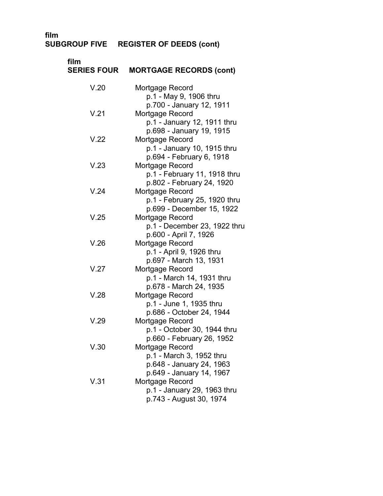#### **SUBGROUP FIVE REGISTER OF DEEDS (cont)**

| film<br><b>SERIES FOUR</b> | <b>MORTGAGE RECORDS (cont)</b>                                                                                                    |
|----------------------------|-----------------------------------------------------------------------------------------------------------------------------------|
| V.20                       | Mortgage Record<br>p.1 - May 9, 1906 thru<br>p.700 - January 12, 1911                                                             |
| V.21                       | Mortgage Record<br>p.1 - January 12, 1911 thru<br>p.698 - January 19, 1915                                                        |
| V.22                       | Mortgage Record<br>p.1 - January 10, 1915 thru                                                                                    |
| V.23                       | p.694 - February 6, 1918<br>Mortgage Record<br>p.1 - February 11, 1918 thru                                                       |
| V.24                       | p.802 - February 24, 1920<br>Mortgage Record<br>p.1 - February 25, 1920 thru                                                      |
| V.25                       | p.699 - December 15, 1922<br>Mortgage Record<br>p.1 - December 23, 1922 thru                                                      |
| V.26                       | p.600 - April 7, 1926<br>Mortgage Record<br>p.1 - April 9, 1926 thru                                                              |
| V.27                       | p.697 - March 13, 1931<br>Mortgage Record<br>p.1 - March 14, 1931 thru                                                            |
| V.28                       | p.678 - March 24, 1935<br>Mortgage Record<br>p.1 - June 1, 1935 thru                                                              |
| V.29                       | p.686 - October 24, 1944<br>Mortgage Record<br>p.1 - October 30, 1944 thru                                                        |
| V.30                       | p.660 - February 26, 1952<br>Mortgage Record<br>p.1 - March 3, 1952 thru                                                          |
| V.31                       | p.648 - January 24, 1963<br>p.649 - January 14, 1967<br>Mortgage Record<br>p.1 - January 29, 1963 thru<br>p.743 - August 30, 1974 |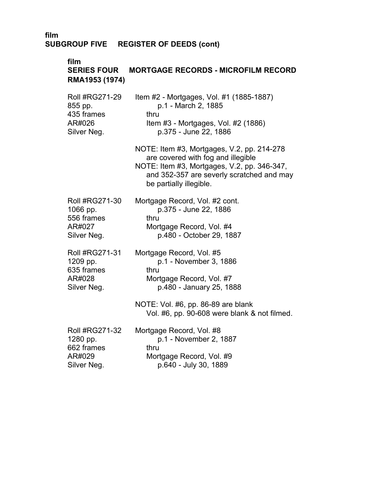#### **film**

#### **SERIES FOUR RMA1953 (1974)**  Roll #RG271-29 855 pp. 435 frames AR#026 Silver Neg. **MORTGAGE RECORDS - MICROFILM RECORD**  Item #2 - Mortgages, Vol. #1 (1885-1887) p.1 - March 2, 1885 thru Item #3 - Mortgages, Vol. #2 (1886) p.375 - June 22, 1886 NOTE: Item #3, Mortgages, V.2, pp. 214-278 are covered with fog and illegible NOTE: Item #3, Mortgages, V.2, pp. 346-347, and 352-357 are severly scratched and may

be partially illegible.

| <b>Roll #RG271-30</b> | Mortgage Record, Vol. #2 cont. |
|-----------------------|--------------------------------|
| 1066 pp.              | p.375 - June 22, 1886          |
| 556 frames            | thru                           |
| AR#027                | Mortgage Record, Vol. #4       |
| Silver Neg.           | p.480 - October 29, 1887       |

| Roll #RG271-31 | Mortgage Record, Vol. #5 |
|----------------|--------------------------|
| 1209 pp.       | p.1 - November 3, 1886   |
| 635 frames     | thru                     |
| AR#028         | Mortgage Record, Vol. #7 |
| Silver Neg.    | p.480 - January 25, 1888 |
|                |                          |

NOTE: Vol. #6, pp. 86-89 are blank Vol. #6, pp. 90-608 were blank & not filmed.

| <b>Roll #RG271-32</b> | Mortgage Record, Vol. #8 |
|-----------------------|--------------------------|
| 1280 pp.              | p.1 - November 2, 1887   |
| 662 frames            | thru                     |
| AR#029                | Mortgage Record, Vol. #9 |
| Silver Neg.           | p.640 - July 30, 1889    |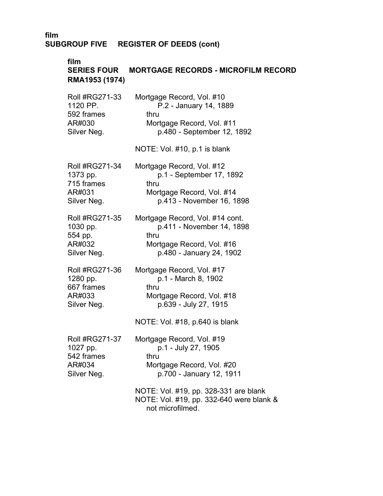#### **film**

# **SERIES FOUR MORTGAGE RECORDS - MICROFILM RECORD RMA1953 (1974)**

| Roll #RG271-33        | Mortgage Record, Vol. #10                                                         |
|-----------------------|-----------------------------------------------------------------------------------|
| 1120 PP.              | P.2 - January 14, 1889                                                            |
| 592 frames            | thru                                                                              |
| AR#030                | Mortgage Record, Vol. #11                                                         |
| Silver Neg.           | p.480 - September 12, 1892                                                        |
|                       | NOTE: Vol. #10, p.1 is blank                                                      |
| <b>Roll #RG271-34</b> | Mortgage Record, Vol. #12                                                         |
| 1373 pp.              | p.1 - September 17, 1892                                                          |
| 715 frames            | thru                                                                              |
| AR#031                | Mortgage Record, Vol. #14                                                         |
| Silver Neg.           | p.413 - November 16, 1898                                                         |
| <b>Roll #RG271-35</b> | Mortgage Record, Vol. #14 cont.                                                   |
| 1030 pp.              | p.411 - November 14, 1898                                                         |
| 554 pp.               | thru                                                                              |
| AR#032                | Mortgage Record, Vol. #16                                                         |
| Silver Neg.           | p.480 - January 24, 1902                                                          |
| Roll #RG271-36        | Mortgage Record, Vol. #17                                                         |
| 1280 pp.              | p.1 - March 8, 1902                                                               |
| 667 frames            | thru                                                                              |
| AR#033                | Mortgage Record, Vol. #18                                                         |
| Silver Neg.           | p.639 - July 27, 1915                                                             |
|                       | NOTE: Vol. #18, p.640 is blank                                                    |
| <b>Roll #RG271-37</b> | Mortgage Record, Vol. #19                                                         |
| 1027 pp.              | p.1 - July 27, 1905                                                               |
| 542 frames            | thru                                                                              |
| AR#034                | Mortgage Record, Vol. #20                                                         |
| Silver Neg.           | p.700 - January 12, 1911                                                          |
|                       | NOTE: Vol. #19, pp. 328-331 are blank<br>NOTE: Vol. #19, pp. 332-640 were blank & |

not microfilmed.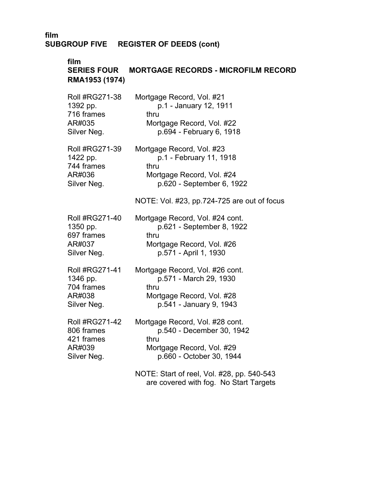## **film**

# **SERIES FOUR MORTGAGE RECORDS - MICROFILM RECORD RMA1953 (1974)**

| <b>Roll #RG271-38</b> | Mortgage Record, Vol. #21                                                            |
|-----------------------|--------------------------------------------------------------------------------------|
| 1392 pp.              | p.1 - January 12, 1911                                                               |
| 716 frames            | thru                                                                                 |
| AR#035                | Mortgage Record, Vol. #22                                                            |
| Silver Neg.           | p.694 - February 6, 1918                                                             |
| Roll #RG271-39        | Mortgage Record, Vol. #23                                                            |
| 1422 pp.              | p.1 - February 11, 1918                                                              |
| 744 frames            | thru                                                                                 |
| AR#036                | Mortgage Record, Vol. #24                                                            |
| Silver Neg.           | p.620 - September 6, 1922                                                            |
|                       | NOTE: Vol. #23, pp.724-725 are out of focus                                          |
| Roll #RG271-40        | Mortgage Record, Vol. #24 cont.                                                      |
| 1350 pp.              | p.621 - September 8, 1922                                                            |
| 697 frames            | thru                                                                                 |
| AR#037                | Mortgage Record, Vol. #26                                                            |
| Silver Neg.           | p.571 - April 1, 1930                                                                |
| Roll #RG271-41        | Mortgage Record, Vol. #26 cont.                                                      |
| 1346 pp.              | p.571 - March 29, 1930                                                               |
| 704 frames            | thru                                                                                 |
| AR#038                | Mortgage Record, Vol. #28                                                            |
| Silver Neg.           | p.541 - January 9, 1943                                                              |
| <b>Roll #RG271-42</b> | Mortgage Record, Vol. #28 cont.                                                      |
| 806 frames            | p.540 - December 30, 1942                                                            |
| 421 frames            | thru                                                                                 |
| AR#039                | Mortgage Record, Vol. #29                                                            |
| Silver Neg.           | p.660 - October 30, 1944                                                             |
|                       | NOTE: Start of reel, Vol. #28, pp. 540-543<br>are covered with fog. No Start Targets |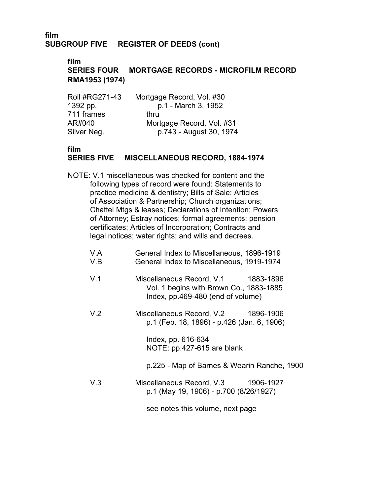**film** 

# **SERIES FOUR MORTGAGE RECORDS - MICROFILM RECORD RMA1953 (1974)**

| <b>Roll #RG271-43</b> | Mortgage Record, Vol. #30 |
|-----------------------|---------------------------|
| 1392 pp.              | p.1 - March 3, 1952       |
| 711 frames            | thru                      |
| AR#040                | Mortgage Record, Vol. #31 |
| Silver Neg.           | p.743 - August 30, 1974   |

## **film**

# **SERIES FIVE MISCELLANEOUS RECORD, 1884-1974**

NOTE: V.1 miscellaneous was checked for content and the following types of record were found: Statements to practice medicine & dentistry; Bills of Sale; Articles of Association & Partnership; Church organizations; Chattel Mtgs & leases; Declarations of Intention; Powers of Attorney; Estray notices; formal agreements; pension certificates; Articles of Incorporation; Contracts and legal notices; water rights; and wills and decrees.

| V.A<br>V.B | General Index to Miscellaneous, 1896-1919<br>General Index to Miscellaneous, 1919-1974                              |
|------------|---------------------------------------------------------------------------------------------------------------------|
| V.1        | Miscellaneous Record, V.1 1883-1896<br>Vol. 1 begins with Brown Co., 1883-1885<br>Index, pp.469-480 (end of volume) |
| V.2        | Miscellaneous Record, V.2<br>1896-1906<br>p.1 (Feb. 18, 1896) - p.426 (Jan. 6, 1906)                                |
|            | Index, pp. 616-634<br>NOTE: pp.427-615 are blank                                                                    |
|            | p.225 - Map of Barnes & Wearin Ranche, 1900                                                                         |
| V.3        | Miscellaneous Record, V.3 1906-1927<br>p.1 (May 19, 1906) - p.700 (8/26/1927)                                       |

see notes this volume, next page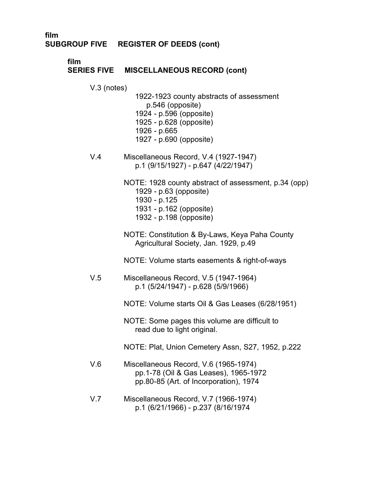**film**

# **SERIES FIVE MISCELLANEOUS RECORD (cont)**

V.3 (notes)

1922-1923 county abstracts of assessment p.546 (opposite) 1924 - p.596 (opposite) 1925 - p.628 (opposite) 1926 - p.665 1927 - p.690 (opposite)

- V.4 Miscellaneous Record, V.4 (1927-1947) p.1 (9/15/1927) - p.647 (4/22/1947)
	- NOTE: 1928 county abstract of assessment, p.34 (opp) 1929 - p.63 (opposite) 1930 - p.125 1931 - p.162 (opposite) 1932 - p.198 (opposite)
	- NOTE: Constitution & By-Laws, Keya Paha County Agricultural Society, Jan. 1929, p.49

NOTE: Volume starts easements & right-of-ways

V.5 Miscellaneous Record, V.5 (1947-1964) p.1 (5/24/1947) - p.628 (5/9/1966)

NOTE: Volume starts Oil & Gas Leases (6/28/1951)

NOTE: Some pages this volume are difficult to read due to light original.

NOTE: Plat, Union Cemetery Assn, S27, 1952, p.222

- V.6 � Miscellaneous Record, V.6 (1965-1974) pp.1-78 (Oil & Gas Leases), 1965-1972 pp.80-85 (Art. of Incorporation), 1974
- V.7 Miscellaneous Record, V.7 (1966-1974) p.1 (6/21/1966) - p.237 (8/16/1974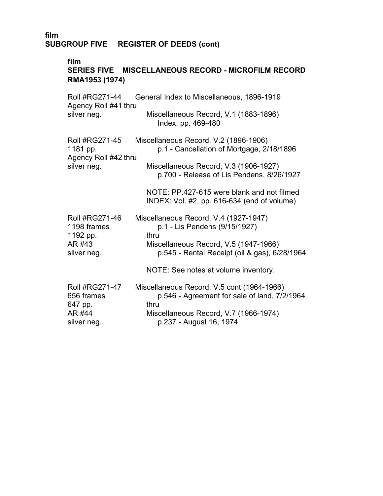#### **film**

# **SERIES FIVE MISCELLANEOUS RECORD - MICROFILM RECORD RMA1953 (1974)**

| <b>Roll #RG271-44</b><br>Agency Roll #41 thru                            | General Index to Miscellaneous, 1896-1919                                                          |
|--------------------------------------------------------------------------|----------------------------------------------------------------------------------------------------|
| silver neg.                                                              | Miscellaneous Record, V.1 (1883-1896)<br>Index, pp. 469-480                                        |
| <b>Roll #RG271-45</b><br>1181 pp.<br>Agency Roll #42 thru<br>silver neg. | Miscellaneous Record, V.2 (1896-1906)<br>p.1 - Cancellation of Mortgage, 2/18/1896                 |
|                                                                          | Miscellaneous Record, V.3 (1906-1927)<br>p.700 - Release of Lis Pendens, 8/26/1927                 |
|                                                                          | NOTE: PP.427-615 were blank and not filmed<br>INDEX: Vol. #2, pp. 616-634 (end of volume)          |
| Roll #RG271-46<br>1198 frames<br>1192 pp.                                | Miscellaneous Record, V.4 (1927-1947)<br>p.1 - Lis Pendens (9/15/1927)<br>thru                     |
| AR #43<br>silver neg.                                                    | Miscellaneous Record, V.5 (1947-1966)<br>p.545 - Rental Receipt (oil & gas), 6/28/1964             |
|                                                                          | NOTE: See notes at volume inventory.                                                               |
| <b>Roll #RG271-47</b><br>656 frames<br>647 pp.                           | Miscellaneous Record, V.5 cont (1964-1966)<br>p.546 - Agreement for sale of land, 7/2/1964<br>thru |
| AR #44<br>silver neg.                                                    | Miscellaneous Record, V.7 (1966-1974)<br>p.237 - August 16, 1974                                   |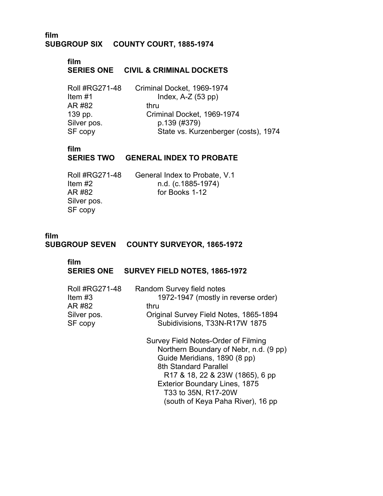## **film SUBGROUP SIX COUNTY COURT, 1885-1974** �

# **film SERIES ONE CIVIL & CRIMINAL DOCKETS**

| Roll #RG271-48 | Criminal Docket, 1969-1974           |
|----------------|--------------------------------------|
| ltem #1        | Index, $A-Z$ (53 pp)                 |
| AR #82         | thru                                 |
| 139 pp.        | Criminal Docket, 1969-1974           |
| Silver pos.    | p.139 (#379)                         |
| SF copy        | State vs. Kurzenberger (costs), 1974 |

# **film**

#### **SERIES TWO GENERAL INDEX TO PROBATE**

| Roll #RG271-48 | General Index to Probate, V.1 |
|----------------|-------------------------------|
| Item $#2$      | n.d. (c.1885-1974)            |
| AR #82         | for Books 1-12                |
| Silver pos.    |                               |
| SF copy        |                               |
|                |                               |

## **film SUBGROUP SEVEN COUNTY SURVEYOR, 1865-1972**

#### **film**

## **SERIES ONE SURVEY FIELD NOTES, 1865-1972**

| <b>Roll #RG271-48</b><br>Item $#3$ | Random Survey field notes<br>1972-1947 (mostly in reverse order) |
|------------------------------------|------------------------------------------------------------------|
| AR #82                             | thru                                                             |
|                                    |                                                                  |
| Silver pos.                        | Original Survey Field Notes, 1865-1894                           |
| SF copy                            | Subidivisions, T33N-R17W 1875                                    |
|                                    | Survey Field Notes-Order of Filming                              |
|                                    | Northern Boundary of Nebr, n.d. (9 pp)                           |
|                                    | Guide Meridians, 1890 (8 pp)                                     |
|                                    | 8th Standard Parallel                                            |
|                                    | R17 & 18, 22 & 23W (1865), 6 pp                                  |
|                                    | <b>Exterior Boundary Lines, 1875</b>                             |
|                                    | T33 to 35N, R17-20W                                              |
|                                    | (south of Keya Paha River), 16 pp                                |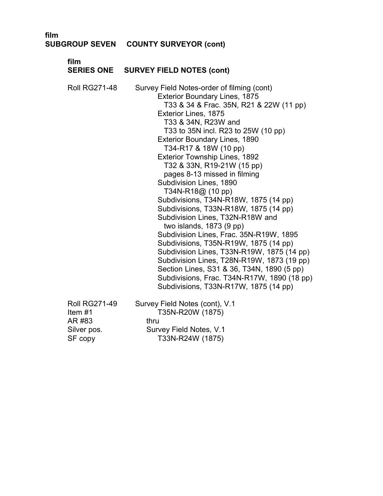| film<br><b>SUBGROUP SEVEN</b>                                      | <b>COUNTY SURVEYOR (cont)</b>                                                                                                                                                                                                                                                                                                                                                                                                                                                                                                                                                                                                                                                                                                                                                                                                                                                                                |
|--------------------------------------------------------------------|--------------------------------------------------------------------------------------------------------------------------------------------------------------------------------------------------------------------------------------------------------------------------------------------------------------------------------------------------------------------------------------------------------------------------------------------------------------------------------------------------------------------------------------------------------------------------------------------------------------------------------------------------------------------------------------------------------------------------------------------------------------------------------------------------------------------------------------------------------------------------------------------------------------|
| film<br><b>SERIES ONE</b>                                          | <b>SURVEY FIELD NOTES (cont)</b>                                                                                                                                                                                                                                                                                                                                                                                                                                                                                                                                                                                                                                                                                                                                                                                                                                                                             |
| <b>Roll RG271-48</b>                                               | Survey Field Notes-order of filming (cont)<br><b>Exterior Boundary Lines, 1875</b><br>T33 & 34 & Frac. 35N, R21 & 22W (11 pp)<br>Exterior Lines, 1875<br>T33 & 34N, R23W and<br>T33 to 35N incl. R23 to 25W (10 pp)<br><b>Exterior Boundary Lines, 1890</b><br>T34-R17 & 18W (10 pp)<br>Exterior Township Lines, 1892<br>T32 & 33N, R19-21W (15 pp)<br>pages 8-13 missed in filming<br>Subdivision Lines, 1890<br>T34N-R18@ (10 pp)<br>Subdivisions, T34N-R18W, 1875 (14 pp)<br>Subdivisions, T33N-R18W, 1875 (14 pp)<br>Subdivision Lines, T32N-R18W and<br>two islands, $1873(9 pp)$<br>Subdivision Lines, Frac. 35N-R19W, 1895<br>Subdivisions, T35N-R19W, 1875 (14 pp)<br>Subdivision Lines, T33N-R19W, 1875 (14 pp)<br>Subdivision Lines, T28N-R19W, 1873 (19 pp)<br>Section Lines, S31 & 36, T34N, 1890 (5 pp)<br>Subdivisions, Frac. T34N-R17W, 1890 (18 pp)<br>Subdivisions, T33N-R17W, 1875 (14 pp) |
| <b>Roll RG271-49</b><br>Item#1<br>AR #83<br>Silver pos.<br>SF copy | Survey Field Notes (cont), V.1<br>T35N-R20W (1875)<br>thru<br>Survey Field Notes, V.1<br>T33N-R24W (1875)                                                                                                                                                                                                                                                                                                                                                                                                                                                                                                                                                                                                                                                                                                                                                                                                    |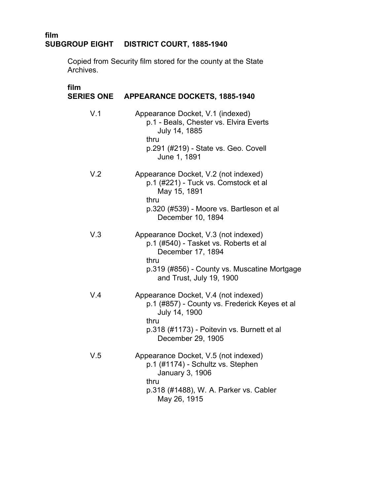# **film SUBGROUP EIGHT DISTRICT COURT, 1885-1940**

Copied from Security film stored for the county at the State Archives.

| film | SERIES ONE APPEARANCE DOCKETS, 1885-1940                                                                                                                                               |
|------|----------------------------------------------------------------------------------------------------------------------------------------------------------------------------------------|
| V.1  | Appearance Docket, V.1 (indexed)<br>p.1 - Beals, Chester vs. Elvira Everts<br>July 14, 1885<br>thru<br>p.291 (#219) - State vs. Geo. Covell<br>June 1, 1891                            |
| V.2  | Appearance Docket, V.2 (not indexed)<br>p.1 (#221) - Tuck vs. Comstock et al<br>May 15, 1891<br>thru<br>p.320 (#539) - Moore vs. Bartleson et al<br>December 10, 1894                  |
| V.3  | Appearance Docket, V.3 (not indexed)<br>p.1 (#540) - Tasket vs. Roberts et al<br>December 17, 1894<br>thru<br>p.319 (#856) - County vs. Muscatine Mortgage<br>and Trust, July 19, 1900 |
| V.4  | Appearance Docket, V.4 (not indexed)<br>p.1 (#857) - County vs. Frederick Keyes et al<br>July 14, 1900<br>thru<br>p.318 (#1173) - Poitevin vs. Burnett et al<br>December 29, 1905      |
| V.5  | Appearance Docket, V.5 (not indexed)<br>p.1 (#1174) - Schultz vs. Stephen<br>January 3, 1906<br>thru<br>p.318 (#1488), W. A. Parker vs. Cabler<br>May 26, 1915                         |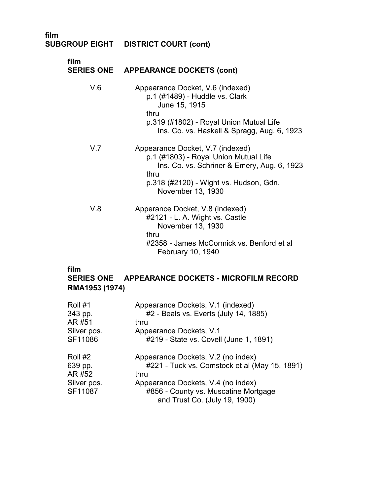## **film SUBGROUP EIGHT DISTRICT COURT (cont)**

| film | SERIES ONE APPEARANCE DOCKETS (cont)                                                                                                                                                            |
|------|-------------------------------------------------------------------------------------------------------------------------------------------------------------------------------------------------|
| V.6  | Appearance Docket, V.6 (indexed)<br>p.1 (#1489) - Huddle vs. Clark<br>June 15, 1915<br>thru<br>p.319 (#1802) - Royal Union Mutual Life<br>Ins. Co. vs. Haskell & Spragg, Aug. 6, 1923           |
| V.7  | Appearance Docket, V.7 (indexed)<br>p.1 (#1803) - Royal Union Mutual Life<br>Ins. Co. vs. Schriner & Emery, Aug. 6, 1923<br>thru<br>p.318 (#2120) - Wight vs. Hudson, Gdn.<br>November 13, 1930 |
| V.8  | Apperance Docket, V.8 (indexed)<br>#2121 - L. A. Wight vs. Castle<br>November 13, 1930<br>thru<br>#2358 - James McCormick vs. Benford et al<br>February 10, 1940                                |

## **film**

# **SERIES ONE APPEARANCE DOCKETS - MICROFILM RECORD RMA1953 (1974)** �

| Roll #1     | Appearance Dockets, V.1 (indexed)             |
|-------------|-----------------------------------------------|
| 343 pp.     | #2 - Beals vs. Everts (July 14, 1885)         |
| AR #51      | thru                                          |
| Silver pos. | Appearance Dockets, V.1                       |
| SF11086     | #219 - State vs. Covell (June 1, 1891)        |
| Roll #2     | Appearance Dockets, V.2 (no index)            |
| 639 pp.     | #221 - Tuck vs. Comstock et al (May 15, 1891) |
| AR #52      | thru                                          |
| Silver pos. | Appearance Dockets, V.4 (no index)            |
| SF11087     | #856 - County vs. Muscatine Mortgage          |
|             | and Trust Co. (July 19, 1900)                 |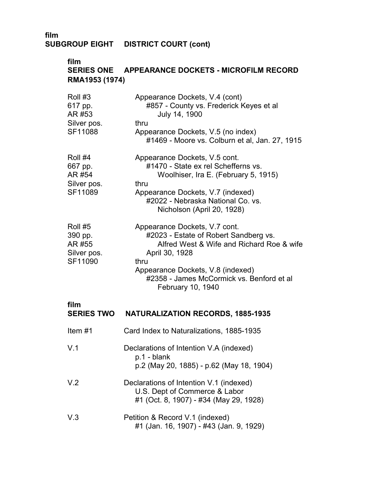# **film SUBGROUP EIGHT DISTRICT COURT (cont)**

# **film SERIES ONE APPEARANCE DOCKETS - MICROFILM RECORD RMA1953 (1974)**

| Roll #3<br>617 pp.<br>AR #53<br>Silver pos.<br>SF11088 | Appearance Dockets, V.4 (cont)<br>#857 - County vs. Frederick Keyes et al<br>July 14, 1900<br>thru<br>Appearance Dockets, V.5 (no index)<br>#1469 - Moore vs. Colburn et al, Jan. 27, 1915                                                           |
|--------------------------------------------------------|------------------------------------------------------------------------------------------------------------------------------------------------------------------------------------------------------------------------------------------------------|
| Roll #4<br>667 pp.<br>AR #54<br>Silver pos.<br>SF11089 | Appearance Dockets, V.5 cont.<br>#1470 - State ex rel Schefferns vs.<br>Woolhiser, Ira E. (February 5, 1915)<br>thru<br>Appearance Dockets, V.7 (indexed)<br>#2022 - Nebraska National Co. vs.<br>Nicholson (April 20, 1928)                         |
| Roll #5<br>390 pp.<br>AR #55<br>Silver pos.<br>SF11090 | Appearance Dockets, V.7 cont.<br>#2023 - Estate of Robert Sandberg vs.<br>Alfred West & Wife and Richard Roe & wife<br>April 30, 1928<br>thru<br>Appearance Dockets, V.8 (indexed)<br>#2358 - James McCormick vs. Benford et al<br>February 10, 1940 |

#### **film**

| <b>SERIES TWO</b> | <b>NATURALIZATION RECORDS, 1885-1935</b>                                                                           |
|-------------------|--------------------------------------------------------------------------------------------------------------------|
| Item $#1$         | Card Index to Naturalizations, 1885-1935                                                                           |
| V.1               | Declarations of Intention V.A (indexed)<br>p.1 - blank<br>p.2 (May 20, 1885) - p.62 (May 18, 1904)                 |
| V.2               | Declarations of Intention V.1 (indexed)<br>U.S. Dept of Commerce & Labor<br>#1 (Oct. 8, 1907) - #34 (May 29, 1928) |
| V.3               | Petition & Record V.1 (indexed)<br>#1 (Jan. 16, 1907) - #43 (Jan. 9, 1929)                                         |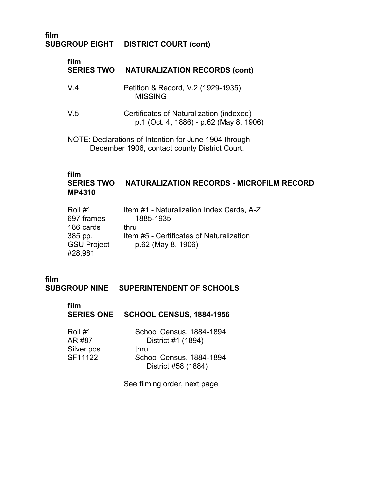#### **film SUBGROUP EIGHT DISTRICT COURT (cont)**

| film<br><b>SERIES TWO</b> | <b>NATURALIZATION RECORDS (cont)</b>                                                |
|---------------------------|-------------------------------------------------------------------------------------|
| $V_4$                     | Petition & Record, V.2 (1929-1935)<br><b>MISSING</b>                                |
| V.5                       | Certificates of Naturalization (indexed)<br>p.1 (Oct. 4, 1886) - p.62 (May 8, 1906) |
|                           | NOTE: Declarations of Intention for June 1904 through                               |

December 1906, contact county District Court.

# **film**

# **SERIES TWO NATURALIZATION RECORDS - MICROFILM RECORD MP4310**

| Roll #1            | Item #1 - Naturalization Index Cards, A-Z |
|--------------------|-------------------------------------------|
| 697 frames         | 1885-1935                                 |
| 186 cards          | thru                                      |
| 385 pp.            | Item #5 - Certificates of Naturalization  |
| <b>GSU Project</b> | p.62 (May 8, 1906)                        |
| #28,981            |                                           |

# **film**

**SUBGROUP NINE SUPERINTENDENT OF SCHOOLS** 

| film<br><b>SERIES ONE</b>                   | <b>SCHOOL CENSUS, 1884-1956</b>                                                                           |
|---------------------------------------------|-----------------------------------------------------------------------------------------------------------|
| Roll #1<br>AR #87<br>Silver pos.<br>SF11122 | School Census, 1884-1894<br>District #1 (1894)<br>thru<br>School Census, 1884-1894<br>District #58 (1884) |

See filming order, next page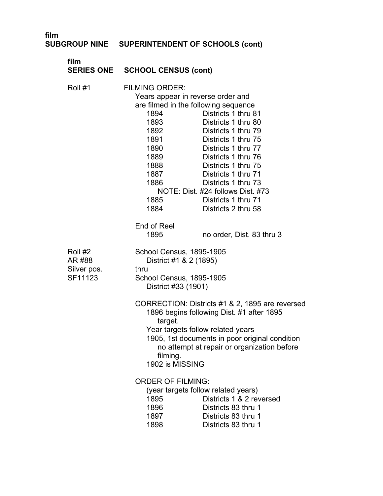|  | SUBGROUP NINE SUPERINTENDENT OF SCHOOLS (cont) |  |
|--|------------------------------------------------|--|
|--|------------------------------------------------|--|

| film                                        | <b>SERIES ONE SCHOOL CENSUS (cont)</b>                                                                                                                                                                                          |                                                                                                                                                                                                                                                           |  |
|---------------------------------------------|---------------------------------------------------------------------------------------------------------------------------------------------------------------------------------------------------------------------------------|-----------------------------------------------------------------------------------------------------------------------------------------------------------------------------------------------------------------------------------------------------------|--|
| Roll #1                                     | <b>FILMING ORDER:</b><br>Years appear in reverse order and<br>are filmed in the following sequence<br>1894<br>1893<br>1892<br>1891<br>1890<br>1889<br>1888<br>1887<br>1886<br>NOTE: Dist. #24 follows Dist. #73<br>1885<br>1884 | Districts 1 thru 81<br>Districts 1 thru 80<br>Districts 1 thru 79<br>Districts 1 thru 75<br>Districts 1 thru 77<br>Districts 1 thru 76<br>Districts 1 thru 75<br>Districts 1 thru 71<br>Districts 1 thru 73<br>Districts 1 thru 71<br>Districts 2 thru 58 |  |
|                                             | End of Reel<br>1895                                                                                                                                                                                                             | no order, Dist. 83 thru 3                                                                                                                                                                                                                                 |  |
| Roll #2<br>AR #88<br>Silver pos.<br>SF11123 | School Census, 1895-1905<br>District #1 & 2 (1895)<br>thru<br>School Census, 1895-1905<br>District #33 (1901)<br>CORRECTION: Districts #1 & 2, 1895 are reversed<br>1896 begins following Dist. #1 after 1895                   |                                                                                                                                                                                                                                                           |  |
|                                             | target.<br>Year targets follow related years<br>1905, 1st documents in poor original condition<br>no attempt at repair or organization before<br>filming.<br>1902 is MISSING                                                    |                                                                                                                                                                                                                                                           |  |
|                                             | <b>ORDER OF FILMING:</b><br>(year targets follow related years)<br>1895<br>1896<br>1897<br>1898                                                                                                                                 | Districts 1 & 2 reversed<br>Districts 83 thru 1<br>Districts 83 thru 1<br>Districts 83 thru 1                                                                                                                                                             |  |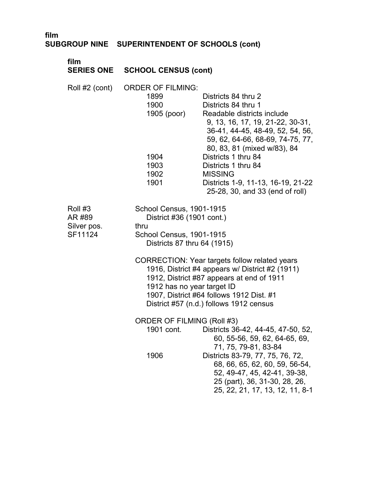| film                                        | SUBGROUP NINE SUPERINTENDENT OF SCHOOLS (cont)                                                                                                                                                                                                                                 |  |
|---------------------------------------------|--------------------------------------------------------------------------------------------------------------------------------------------------------------------------------------------------------------------------------------------------------------------------------|--|
| film<br><b>SERIES ONE</b>                   | <b>SCHOOL CENSUS (cont)</b>                                                                                                                                                                                                                                                    |  |
| Roll #2 (cont)                              | <b>ORDER OF FILMING:</b><br>1899<br>Districts 84 thru 2<br>1900<br>Districts 84 thru 1<br>1905 (poor)<br>Readable districts include<br>9, 13, 16, 17, 19, 21-22, 30-31,<br>36-41, 44-45, 48-49, 52, 54, 56,<br>59, 62, 64-66, 68-69, 74-75, 77,<br>80, 83, 81 (mixed w/83), 84 |  |
|                                             | 1904<br>Districts 1 thru 84<br>1903<br>Districts 1 thru 84<br>1902<br><b>MISSING</b><br>1901<br>Districts 1-9, 11-13, 16-19, 21-22<br>25-28, 30, and 33 (end of roll)                                                                                                          |  |
| Roll #3<br>AR #89<br>Silver pos.<br>SF11124 | School Census, 1901-1915<br>District #36 (1901 cont.)<br>thru<br>School Census, 1901-1915<br>Districts 87 thru 64 (1915)                                                                                                                                                       |  |
|                                             | <b>CORRECTION: Year targets follow related years</b><br>1916, District #4 appears w/ District #2 (1911)<br>1912, District #87 appears at end of 1911<br>1912 has no year target ID<br>1907, District #64 follows 1912 Dist. #1<br>District #57 (n.d.) follows 1912 census      |  |
|                                             | <b>ORDER OF FILMING (Roll #3)</b><br>1901 cont.<br>Districts 36-42, 44-45, 47-50, 52,<br>60, 55-56, 59, 62, 64-65, 69,<br>71, 75, 79-81, 83-84                                                                                                                                 |  |
|                                             | 1906<br>Districts 83-79, 77, 75, 76, 72,<br>68, 66, 65, 62, 60, 59, 56-54,<br>52, 49-47, 45, 42-41, 39-38,<br>25 (part), 36, 31-30, 28, 26,<br>25, 22, 21, 17, 13, 12, 11, 8-1                                                                                                 |  |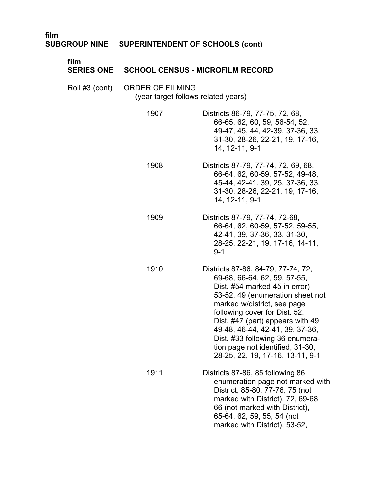| film                      | SUBGROUP NINE SUPERINTENDENT OF SCHOOLS (cont)                 |                                                                                                                                                                                                                                                                                                                                                                                           |  |
|---------------------------|----------------------------------------------------------------|-------------------------------------------------------------------------------------------------------------------------------------------------------------------------------------------------------------------------------------------------------------------------------------------------------------------------------------------------------------------------------------------|--|
| film<br><b>SERIES ONE</b> | <b>SCHOOL CENSUS - MICROFILM RECORD</b>                        |                                                                                                                                                                                                                                                                                                                                                                                           |  |
| Roll #3 (cont)            | <b>ORDER OF FILMING</b><br>(year target follows related years) |                                                                                                                                                                                                                                                                                                                                                                                           |  |
|                           | 1907                                                           | Districts 86-79, 77-75, 72, 68,<br>66-65, 62, 60, 59, 56-54, 52,<br>49-47, 45, 44, 42-39, 37-36, 33,<br>31-30, 28-26, 22-21, 19, 17-16,<br>14, 12-11, 9-1                                                                                                                                                                                                                                 |  |
|                           | 1908                                                           | Districts 87-79, 77-74, 72, 69, 68,<br>66-64, 62, 60-59, 57-52, 49-48,<br>45-44, 42-41, 39, 25, 37-36, 33,<br>31-30, 28-26, 22-21, 19, 17-16,<br>14, 12-11, 9-1                                                                                                                                                                                                                           |  |
|                           | 1909                                                           | Districts 87-79, 77-74, 72-68,<br>66-64, 62, 60-59, 57-52, 59-55,<br>42-41, 39, 37-36, 33, 31-30,<br>28-25, 22-21, 19, 17-16, 14-11,<br>$9 - 1$                                                                                                                                                                                                                                           |  |
|                           | 1910                                                           | Districts 87-86, 84-79, 77-74, 72,<br>69-68, 66-64, 62, 59, 57-55,<br>Dist. #54 marked 45 in error)<br>53-52, 49 (enumeration sheet not<br>marked w/district, see page<br>following cover for Dist. 52.<br>Dist. #47 (part) appears with 49<br>49-48, 46-44, 42-41, 39, 37-36,<br>Dist. #33 following 36 enumera-<br>tion page not identified, 31-30,<br>28-25, 22, 19, 17-16, 13-11, 9-1 |  |
|                           | 1911                                                           | Districts 87-86, 85 following 86<br>enumeration page not marked with<br>District, 85-80, 77-76, 75 (not<br>marked with District), 72, 69-68<br>66 (not marked with District),<br>65-64, 62, 59, 55, 54 (not<br>marked with District), 53-52,                                                                                                                                              |  |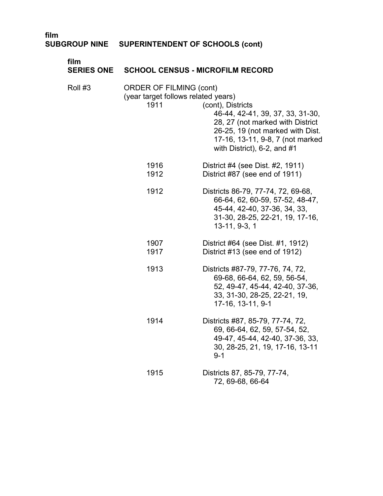# **film SUBGROUP NINE SUPERINTENDENT OF SCHOOLS (cont)**

| film<br><b>SERIES ONE</b> | <b>SCHOOL CENSUS - MICROFILM RECORD</b>                                       |                                                                                                                                                                                                       |
|---------------------------|-------------------------------------------------------------------------------|-------------------------------------------------------------------------------------------------------------------------------------------------------------------------------------------------------|
| Roll #3                   | <b>ORDER OF FILMING (cont)</b><br>(year target follows related years)<br>1911 | (cont), Districts<br>46-44, 42-41, 39, 37, 33, 31-30,<br>28, 27 (not marked with District<br>26-25, 19 (not marked with Dist.<br>17-16, 13-11, 9-8, 7 (not marked<br>with District), $6-2$ , and $#1$ |
|                           | 1916<br>1912                                                                  | District #4 (see Dist. #2, 1911)<br>District #87 (see end of 1911)                                                                                                                                    |
|                           | 1912                                                                          | Districts 86-79, 77-74, 72, 69-68,<br>66-64, 62, 60-59, 57-52, 48-47,<br>45-44, 42-40, 37-36, 34, 33,<br>31-30, 28-25, 22-21, 19, 17-16,<br>13-11, 9-3, 1                                             |
|                           | 1907<br>1917                                                                  | District #64 (see Dist. #1, 1912)<br>District #13 (see end of 1912)                                                                                                                                   |
|                           | 1913                                                                          | Districts #87-79, 77-76, 74, 72,<br>69-68, 66-64, 62, 59, 56-54,<br>52, 49-47, 45-44, 42-40, 37-36,<br>33, 31-30, 28-25, 22-21, 19,<br>17-16, 13-11, 9-1                                              |
|                           | 1914                                                                          | Districts #87, 85-79, 77-74, 72,<br>69, 66-64, 62, 59, 57-54, 52,<br>49-47, 45-44, 42-40, 37-36, 33,<br>30, 28-25, 21, 19, 17-16, 13-11<br>$9 - 1$                                                    |
|                           | 1915                                                                          | Districts 87, 85-79, 77-74,<br>72, 69-68, 66-64                                                                                                                                                       |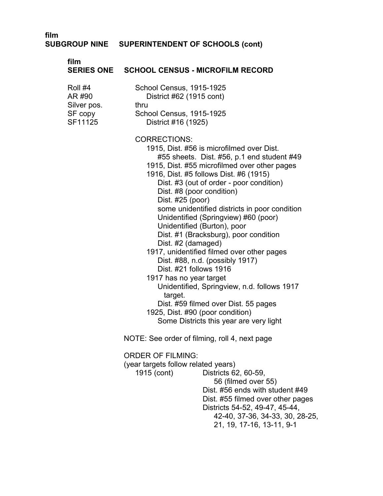# **SUBGROUP NINE SUPERINTENDENT OF SCHOOLS (cont)**

| film                                          | SERIES ONE SCHOOL CENSUS - MICROFILM RECORD                                                                                                                                                                                                                                                                                                                                                                                                                                                                                                                                                                                                                                                                                                                                                                         |  |  |
|-----------------------------------------------|---------------------------------------------------------------------------------------------------------------------------------------------------------------------------------------------------------------------------------------------------------------------------------------------------------------------------------------------------------------------------------------------------------------------------------------------------------------------------------------------------------------------------------------------------------------------------------------------------------------------------------------------------------------------------------------------------------------------------------------------------------------------------------------------------------------------|--|--|
| Roll #4<br>AR #90                             | School Census, 1915-1925<br>District #62 (1915 cont)                                                                                                                                                                                                                                                                                                                                                                                                                                                                                                                                                                                                                                                                                                                                                                |  |  |
| Silver pos.<br>SF copy<br>SF11125             | thru<br>School Census, 1915-1925<br>District #16 (1925)                                                                                                                                                                                                                                                                                                                                                                                                                                                                                                                                                                                                                                                                                                                                                             |  |  |
|                                               | <b>CORRECTIONS:</b><br>1915, Dist. #56 is microfilmed over Dist.<br>#55 sheets. Dist. #56, p.1 end student #49<br>1915, Dist. #55 microfilmed over other pages<br>1916, Dist. #5 follows Dist. #6 (1915)<br>Dist. #3 (out of order - poor condition)<br>Dist. #8 (poor condition)<br>Dist. #25 (poor)<br>some unidentified districts in poor condition<br>Unidentified (Springview) #60 (poor)<br>Unidentified (Burton), poor<br>Dist. #1 (Bracksburg), poor condition<br>Dist. #2 (damaged)<br>1917, unidentified filmed over other pages<br>Dist. #88, n.d. (possibly 1917)<br>Dist. #21 follows 1916<br>1917 has no year target<br>Unidentified, Springview, n.d. follows 1917<br>target.<br>Dist. #59 filmed over Dist. 55 pages<br>1925, Dist. #90 (poor condition)<br>Some Districts this year are very light |  |  |
| NOTE: See order of filming, roll 4, next page |                                                                                                                                                                                                                                                                                                                                                                                                                                                                                                                                                                                                                                                                                                                                                                                                                     |  |  |
|                                               | <b>ORDER OF FILMING:</b><br>(year targets follow related years)<br>1915 (cont)<br>Districts 62, 60-59,<br>56 (filmed over 55)<br>Dist. #56 ends with student #49<br>Dist. #55 filmed over other pages<br>Districts 54-52, 49-47, 45-44,<br>42-40, 37-36, 34-33, 30, 28-25,<br>21, 19, 17-16, 13-11, 9-1                                                                                                                                                                                                                                                                                                                                                                                                                                                                                                             |  |  |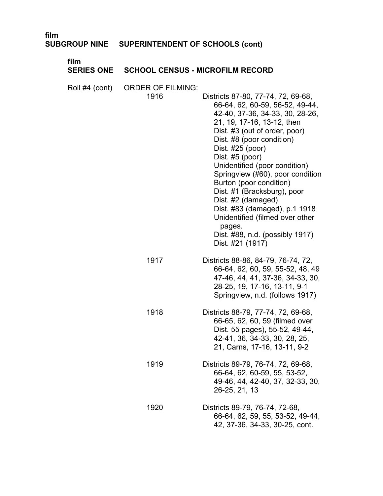| film                      | SUBGROUP NINE SUPERINTENDENT OF SCHOOLS (cont) |                                                                                                                                                                                                                                                                                                                                                                                                                                                                                                                                       |
|---------------------------|------------------------------------------------|---------------------------------------------------------------------------------------------------------------------------------------------------------------------------------------------------------------------------------------------------------------------------------------------------------------------------------------------------------------------------------------------------------------------------------------------------------------------------------------------------------------------------------------|
| film<br><b>SERIES ONE</b> | <b>SCHOOL CENSUS - MICROFILM RECORD</b>        |                                                                                                                                                                                                                                                                                                                                                                                                                                                                                                                                       |
| Roll #4 (cont)            | <b>ORDER OF FILMING:</b><br>1916               | Districts 87-80, 77-74, 72, 69-68,<br>66-64, 62, 60-59, 56-52, 49-44,<br>42-40, 37-36, 34-33, 30, 28-26,<br>21, 19, 17-16, 13-12, then<br>Dist. #3 (out of order, poor)<br>Dist. #8 (poor condition)<br>Dist. #25 (poor)<br>Dist. #5 (poor)<br>Unidentified (poor condition)<br>Springview (#60), poor condition<br>Burton (poor condition)<br>Dist. #1 (Bracksburg), poor<br>Dist. #2 (damaged)<br>Dist. #83 (damaged), p.1 1918<br>Unidentified (filmed over other<br>pages.<br>Dist. #88, n.d. (possibly 1917)<br>Dist. #21 (1917) |
|                           | 1917                                           | Districts 88-86, 84-79, 76-74, 72,<br>66-64, 62, 60, 59, 55-52, 48, 49<br>47-46, 44, 41, 37-36, 34-33, 30,<br>28-25, 19, 17-16, 13-11, 9-1<br>Springview, n.d. (follows 1917)                                                                                                                                                                                                                                                                                                                                                         |
|                           | 1918                                           | Districts 88-79, 77-74, 72, 69-68,<br>66-65, 62, 60, 59 (filmed over<br>Dist. 55 pages), 55-52, 49-44,<br>42-41, 36, 34-33, 30, 28, 25,<br>21, Carns, 17-16, 13-11, 9-2                                                                                                                                                                                                                                                                                                                                                               |
|                           | 1919                                           | Districts 89-79, 76-74, 72, 69-68,<br>66-64, 62, 60-59, 55, 53-52,<br>49-46, 44, 42-40, 37, 32-33, 30,<br>26-25, 21, 13                                                                                                                                                                                                                                                                                                                                                                                                               |
|                           | 1920                                           | Districts 89-79, 76-74, 72-68,<br>66-64, 62, 59, 55, 53-52, 49-44,<br>42, 37-36, 34-33, 30-25, cont.                                                                                                                                                                                                                                                                                                                                                                                                                                  |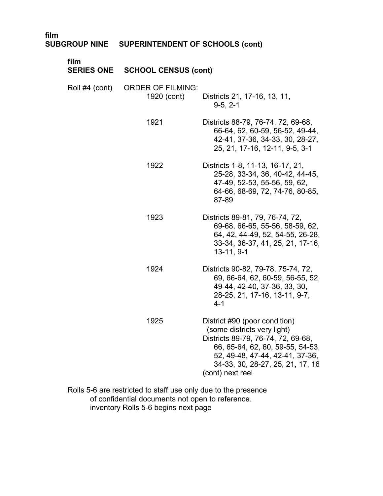| film           | SUBGROUP NINE SUPERINTENDENT OF SCHOOLS (cont) |                                                                                                                                                                                                                                   |
|----------------|------------------------------------------------|-----------------------------------------------------------------------------------------------------------------------------------------------------------------------------------------------------------------------------------|
| film           | <b>SERIES ONE SCHOOL CENSUS (cont)</b>         |                                                                                                                                                                                                                                   |
| Roll #4 (cont) | <b>ORDER OF FILMING:</b><br>1920 (cont)        | Districts 21, 17-16, 13, 11,<br>$9-5, 2-1$                                                                                                                                                                                        |
|                | 1921                                           | Districts 88-79, 76-74, 72, 69-68,<br>66-64, 62, 60-59, 56-52, 49-44,<br>42-41, 37-36, 34-33, 30, 28-27,<br>25, 21, 17-16, 12-11, 9-5, 3-1                                                                                        |
|                | 1922                                           | Districts 1-8, 11-13, 16-17, 21,<br>25-28, 33-34, 36, 40-42, 44-45,<br>47-49, 52-53, 55-56, 59, 62,<br>64-66, 68-69, 72, 74-76, 80-85,<br>87-89                                                                                   |
|                | 1923                                           | Districts 89-81, 79, 76-74, 72,<br>69-68, 66-65, 55-56, 58-59, 62,<br>64, 42, 44-49, 52, 54-55, 26-28,<br>33-34, 36-37, 41, 25, 21, 17-16,<br>$13-11, 9-1$                                                                        |
|                | 1924                                           | Districts 90-82, 79-78, 75-74, 72,<br>69, 66-64, 62, 60-59, 56-55, 52,<br>49-44, 42-40, 37-36, 33, 30,<br>28-25, 21, 17-16, 13-11, 9-7,<br>$4 - 1$                                                                                |
|                | 1925                                           | District #90 (poor condition)<br>(some districts very light)<br>Districts 89-79, 76-74, 72, 69-68,<br>66, 65-64, 62, 60, 59-55, 54-53,<br>52, 49-48, 47-44, 42-41, 37-36,<br>34-33, 30, 28-27, 25, 21, 17, 16<br>(cont) next reel |

Rolls 5-6 are restricted to staff use only due to the presence � of confidential documents not open to reference. � inventory Rolls 5-6 begins next page �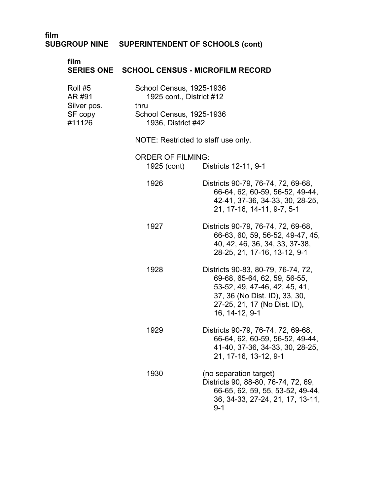# **film SUBGROUP NINE SUPERINTENDENT OF SCHOOLS (cont)**

| film                                                  |                                         | SERIES ONE SCHOOL CENSUS - MICROFILM RECORD                                                                                                                                            |  |
|-------------------------------------------------------|-----------------------------------------|----------------------------------------------------------------------------------------------------------------------------------------------------------------------------------------|--|
| Roll #5<br>AR #91<br>Silver pos.<br>SF copy<br>#11126 | thru                                    | School Census, 1925-1936<br>1925 cont., District #12<br>School Census, 1925-1936<br>1936, District #42<br>NOTE: Restricted to staff use only.                                          |  |
|                                                       |                                         |                                                                                                                                                                                        |  |
|                                                       | <b>ORDER OF FILMING:</b><br>1925 (cont) | Districts 12-11, 9-1                                                                                                                                                                   |  |
|                                                       | 1926                                    | Districts 90-79, 76-74, 72, 69-68,<br>66-64, 62, 60-59, 56-52, 49-44,<br>42-41, 37-36, 34-33, 30, 28-25,<br>21, 17-16, 14-11, 9-7, 5-1                                                 |  |
|                                                       | 1927                                    | Districts 90-79, 76-74, 72, 69-68,<br>66-63, 60, 59, 56-52, 49-47, 45,<br>40, 42, 46, 36, 34, 33, 37-38,<br>28-25, 21, 17-16, 13-12, 9-1                                               |  |
|                                                       | 1928                                    | Districts 90-83, 80-79, 76-74, 72,<br>69-68, 65-64, 62, 59, 56-55,<br>53-52, 49, 47-46, 42, 45, 41,<br>37, 36 (No Dist. ID), 33, 30,<br>27-25, 21, 17 (No Dist. ID),<br>16, 14-12, 9-1 |  |
|                                                       | 1929                                    | Districts 90-79, 76-74, 72, 69-68,<br>66-64, 62, 60-59, 56-52, 49-44,<br>41-40, 37-36, 34-33, 30, 28-25,<br>21, 17-16, 13-12, 9-1                                                      |  |
|                                                       | 1930                                    | (no separation target)<br>Districts 90, 88-80, 76-74, 72, 69,<br>66-65, 62, 59, 55, 53-52, 49-44,<br>36, 34-33, 27-24, 21, 17, 13-11,<br>$9 - 1$                                       |  |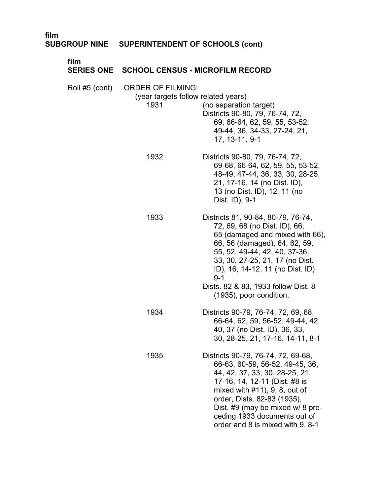| film<br><b>SUBGROUP NINE</b> | <b>SUPERINTENDENT OF SCHOOLS (cont)</b>                                 |                                                                                                                                                                                                                                                                                                                       |
|------------------------------|-------------------------------------------------------------------------|-----------------------------------------------------------------------------------------------------------------------------------------------------------------------------------------------------------------------------------------------------------------------------------------------------------------------|
| film<br><b>SERIES ONE</b>    | <b>SCHOOL CENSUS - MICROFILM RECORD</b>                                 |                                                                                                                                                                                                                                                                                                                       |
| Roll #5 (cont)               | <b>ORDER OF FILMING:</b><br>(year targets follow related years)<br>1931 | (no separation target)<br>Districts 90-80, 79, 76-74, 72,<br>69, 66-64, 62, 59, 55, 53-52,<br>49-44, 36, 34-33, 27-24, 21,<br>17, 13-11, 9-1                                                                                                                                                                          |
|                              | 1932                                                                    | Districts 90-80, 79, 76-74, 72,<br>69-68, 66-64, 62, 59, 55, 53-52,<br>48-49, 47-44, 36, 33, 30, 28-25,<br>21, 17-16, 14 (no Dist. ID),<br>13 (no Dist. ID), 12, 11 (no<br>Dist. ID), 9-1                                                                                                                             |
|                              | 1933                                                                    | Districts 81, 90-84, 80-79, 76-74,<br>72, 69, 68 (no Dist. ID), 66,<br>65 (damaged and mixed with 66),<br>66, 56 (damaged), 64, 62, 59,<br>55, 52, 49-44, 42, 40, 37-36,<br>33, 30, 27-25, 21, 17 (no Dist.<br>ID), 16, 14-12, 11 (no Dist. ID)<br>$9 - 1$                                                            |
|                              |                                                                         | Dists. 82 & 83, 1933 follow Dist. 8<br>(1935), poor condition.                                                                                                                                                                                                                                                        |
|                              | 1934                                                                    | Districts 90-79, 76-74, 72, 69, 68,<br>66-64, 62, 59, 56-52, 49-44, 42,<br>40, 37 (no Dist. ID), 36, 33,<br>30, 28-25, 21, 17-16, 14-11, 8-1                                                                                                                                                                          |
|                              | 1935                                                                    | Districts 90-79, 76-74, 72, 69-68,<br>66-63, 60-59, 56-52, 49-45, 36,<br>44, 42, 37, 33, 30, 28-25, 21,<br>17-16, 14, 12-11 (Dist. #8 is<br>mixed with $#11$ , $9, 8$ , out of<br>order, Dists. 82-83 (1935),<br>Dist. #9 (may be mixed w/ 8 pre-<br>ceding 1933 documents out of<br>order and 8 is mixed with 9, 8-1 |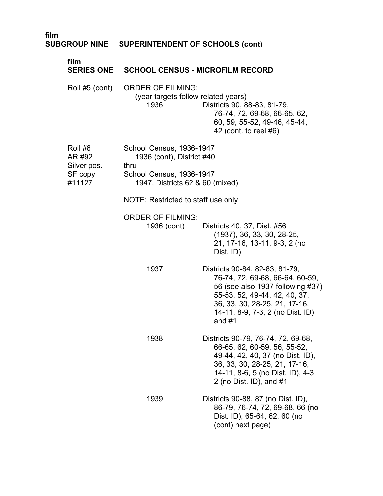| film |                                                       | SUBGROUP NINE  SUPERINTENDENT OF SCHOOLS (cont)                                                                              |                                                                                                                                                                                                                         |
|------|-------------------------------------------------------|------------------------------------------------------------------------------------------------------------------------------|-------------------------------------------------------------------------------------------------------------------------------------------------------------------------------------------------------------------------|
|      | film<br><b>SERIES ONE</b>                             | <b>SCHOOL CENSUS - MICROFILM RECORD</b>                                                                                      |                                                                                                                                                                                                                         |
|      | Roll #5 (cont)                                        | <b>ORDER OF FILMING:</b><br>(year targets follow related years)<br>1936                                                      | Districts 90, 88-83, 81-79,<br>76-74, 72, 69-68, 66-65, 62,<br>60, 59, 55-52, 49-46, 45-44,<br>42 (cont. to reel #6)                                                                                                    |
|      | Roll #6<br>AR #92<br>Silver pos.<br>SF copy<br>#11127 | School Census, 1936-1947<br>1936 (cont), District #40<br>thru<br>School Census, 1936-1947<br>1947, Districts 62 & 60 (mixed) |                                                                                                                                                                                                                         |
|      |                                                       | NOTE: Restricted to staff use only                                                                                           |                                                                                                                                                                                                                         |
|      |                                                       | <b>ORDER OF FILMING:</b><br>1936 (cont)                                                                                      | Districts 40, 37, Dist. #56<br>(1937), 36, 33, 30, 28-25,<br>21, 17-16, 13-11, 9-3, 2 (no<br>Dist. ID)                                                                                                                  |
|      |                                                       | 1937                                                                                                                         | Districts 90-84, 82-83, 81-79,<br>76-74, 72, 69-68, 66-64, 60-59,<br>56 (see also 1937 following #37)<br>55-53, 52, 49-44, 42, 40, 37,<br>36, 33, 30, 28-25, 21, 17-16,<br>14-11, 8-9, 7-3, 2 (no Dist. ID)<br>and $#1$ |
|      |                                                       | 1938                                                                                                                         | Districts 90-79, 76-74, 72, 69-68,<br>66-65, 62, 60-59, 56, 55-52,<br>49-44, 42, 40, 37 (no Dist. ID),<br>36, 33, 30, 28-25, 21, 17-16,<br>14-11, 8-6, 5 (no Dist. ID), 4-3<br>2 (no Dist. ID), and $#1$                |
|      |                                                       | 1939                                                                                                                         | Districts 90-88, 87 (no Dist. ID),<br>86-79, 76-74, 72, 69-68, 66 (no<br>Dist. ID), 65-64, 62, 60 (no<br>(cont) next page)                                                                                              |
|      |                                                       |                                                                                                                              |                                                                                                                                                                                                                         |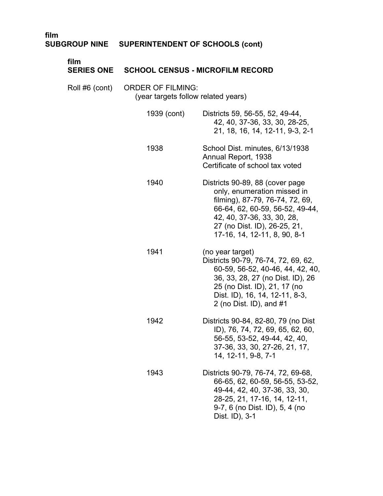| film                      | SUBGROUP NINE SUPERINTENDENT OF SCHOOLS (cont)                  |                                                                                                                                                                                                                                    |
|---------------------------|-----------------------------------------------------------------|------------------------------------------------------------------------------------------------------------------------------------------------------------------------------------------------------------------------------------|
| film<br><b>SERIES ONE</b> | <b>SCHOOL CENSUS - MICROFILM RECORD</b>                         |                                                                                                                                                                                                                                    |
| Roll #6 (cont)            | <b>ORDER OF FILMING:</b><br>(year targets follow related years) |                                                                                                                                                                                                                                    |
|                           | 1939 (cont)                                                     | Districts 59, 56-55, 52, 49-44,<br>42, 40, 37-36, 33, 30, 28-25,<br>21, 18, 16, 14, 12-11, 9-3, 2-1                                                                                                                                |
|                           | 1938                                                            | School Dist. minutes, 6/13/1938<br>Annual Report, 1938<br>Certificate of school tax voted                                                                                                                                          |
|                           | 1940                                                            | Districts 90-89, 88 (cover page<br>only, enumeration missed in<br>filming), 87-79, 76-74, 72, 69,<br>66-64, 62, 60-59, 56-52, 49-44,<br>42, 40, 37-36, 33, 30, 28,<br>27 (no Dist. ID), 26-25, 21,<br>17-16, 14, 12-11, 8, 90, 8-1 |
|                           | 1941                                                            | (no year target)<br>Districts 90-79, 76-74, 72, 69, 62,<br>60-59, 56-52, 40-46, 44, 42, 40,<br>36, 33, 28, 27 (no Dist. ID), 26<br>25 (no Dist. ID), 21, 17 (no<br>Dist. ID), 16, 14, 12-11, 8-3,<br>2 (no Dist. ID), and $#1$     |
|                           | 1942                                                            | Districts 90-84, 82-80, 79 (no Dist<br>ID), 76, 74, 72, 69, 65, 62, 60,<br>56-55, 53-52, 49-44, 42, 40,<br>37-36, 33, 30, 27-26, 21, 17,<br>14, 12-11, 9-8, 7-1                                                                    |
|                           | 1943                                                            | Districts 90-79, 76-74, 72, 69-68,<br>66-65, 62, 60-59, 56-55, 53-52,<br>49-44, 42, 40, 37-36, 33, 30,<br>28-25, 21, 17-16, 14, 12-11,<br>9-7, 6 (no Dist. ID), 5, 4 (no<br>Dist. ID), 3-1                                         |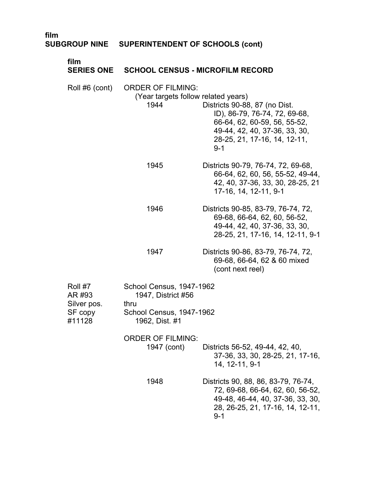| film<br><b>SUBGROUP NINE</b>     | <b>SUPERINTENDENT OF SCHOOLS (cont)</b>                                 |                                                                                                                                                                            |
|----------------------------------|-------------------------------------------------------------------------|----------------------------------------------------------------------------------------------------------------------------------------------------------------------------|
| film<br><b>SERIES ONE</b>        | <b>SCHOOL CENSUS - MICROFILM RECORD</b>                                 |                                                                                                                                                                            |
| Roll #6 (cont)                   | <b>ORDER OF FILMING:</b><br>(Year targets follow related years)<br>1944 | Districts 90-88, 87 (no Dist.<br>ID), 86-79, 76-74, 72, 69-68,<br>66-64, 62, 60-59, 56, 55-52,<br>49-44, 42, 40, 37-36, 33, 30,<br>28-25, 21, 17-16, 14, 12-11,<br>$9 - 1$ |
|                                  | 1945                                                                    | Districts 90-79, 76-74, 72, 69-68,<br>66-64, 62, 60, 56, 55-52, 49-44,<br>42, 40, 37-36, 33, 30, 28-25, 21<br>17-16, 14, 12-11, 9-1                                        |
|                                  | 1946                                                                    | Districts 90-85, 83-79, 76-74, 72,<br>69-68, 66-64, 62, 60, 56-52,<br>49-44, 42, 40, 37-36, 33, 30,<br>28-25, 21, 17-16, 14, 12-11, 9-1                                    |
|                                  | 1947                                                                    | Districts 90-86, 83-79, 76-74, 72,<br>69-68, 66-64, 62 & 60 mixed<br>(cont next reel)                                                                                      |
| Roll #7<br>AR #93                | School Census, 1947-1962<br>1947, District #56                          |                                                                                                                                                                            |
| Silver pos.<br>SF copy<br>#11128 | thru<br>School Census, 1947-1962<br>1962, Dist. #1                      |                                                                                                                                                                            |
|                                  | <b>ORDER OF FILMING:</b><br>1947 (cont)                                 | Districts 56-52, 49-44, 42, 40,<br>37-36, 33, 30, 28-25, 21, 17-16,<br>14, 12-11, 9-1                                                                                      |
|                                  | 1948                                                                    | Districts 90, 88, 86, 83-79, 76-74,<br>72, 69-68, 66-64, 62, 60, 56-52,<br>49-48, 46-44, 40, 37-36, 33, 30,<br>28, 26-25, 21, 17-16, 14, 12-11,<br>$9 - 1$                 |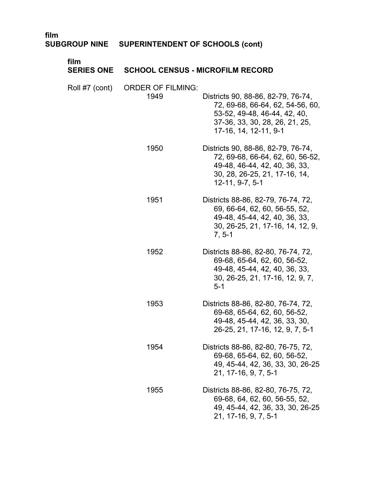| ,,,,,,<br><b>SUBGROUP NINE</b> | <b>SUPERINTENDENT OF SCHOOLS (cont)</b> |                                                                                                                                                                   |
|--------------------------------|-----------------------------------------|-------------------------------------------------------------------------------------------------------------------------------------------------------------------|
| film<br><b>SERIES ONE</b>      | <b>SCHOOL CENSUS - MICROFILM RECORD</b> |                                                                                                                                                                   |
| Roll #7 (cont)                 | <b>ORDER OF FILMING:</b><br>1949        | Districts 90, 88-86, 82-79, 76-74,<br>72, 69-68, 66-64, 62, 54-56, 60,<br>53-52, 49-48, 46-44, 42, 40,<br>37-36, 33, 30, 28, 26, 21, 25,<br>17-16, 14, 12-11, 9-1 |
|                                | 1950                                    | Districts 90, 88-86, 82-79, 76-74,<br>72, 69-68, 66-64, 62, 60, 56-52,<br>49-48, 46-44, 42, 40, 36, 33,<br>30, 28, 26-25, 21, 17-16, 14,<br>$12-11, 9-7, 5-1$     |
|                                | 1951                                    | Districts 88-86, 82-79, 76-74, 72,<br>69, 66-64, 62, 60, 56-55, 52,<br>49-48, 45-44, 42, 40, 36, 33,<br>30, 26-25, 21, 17-16, 14, 12, 9,<br>$7, 5-1$              |
|                                | 1952                                    | Districts 88-86, 82-80, 76-74, 72,<br>69-68, 65-64, 62, 60, 56-52,<br>49-48, 45-44, 42, 40, 36, 33,<br>30, 26-25, 21, 17-16, 12, 9, 7,<br>$5-1$                   |
|                                | 1953                                    | Districts 88-86, 82-80, 76-74, 72,<br>69-68, 65-64, 62, 60, 56-52,<br>49-48, 45-44, 42, 36, 33, 30,<br>26-25, 21, 17-16, 12, 9, 7, 5-1                            |
|                                | 1954                                    | Districts 88-86, 82-80, 76-75, 72,<br>69-68, 65-64, 62, 60, 56-52,<br>49, 45-44, 42, 36, 33, 30, 26-25<br>21, 17-16, 9, 7, 5-1                                    |
|                                | 1955                                    | Districts 88-86, 82-80, 76-75, 72,<br>69-68, 64, 62, 60, 56-55, 52,<br>49, 45-44, 42, 36, 33, 30, 26-25                                                           |

21, 17-16, 9, 7, 5-1

# **film**